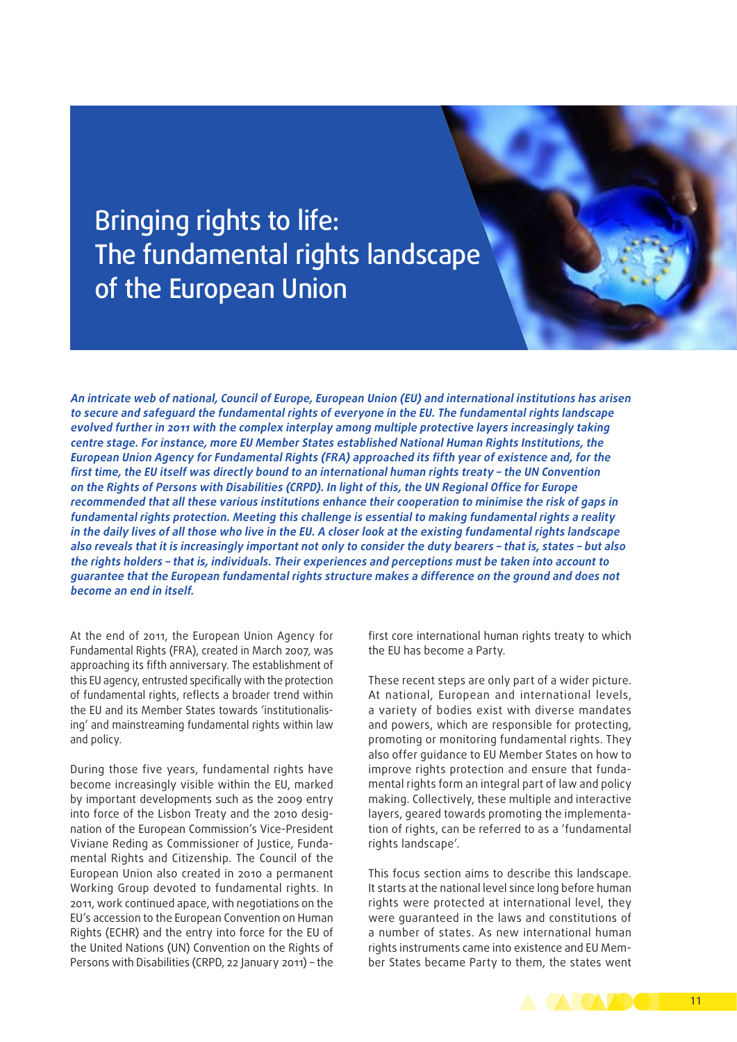# Bringing rights to life: The fundamental rights landscape of the European Union

**An intricate web of national, Council of Europe, European Union (EU) and international institutions has arisen to secure and safeguard the fundamental rights of everyone in the EU. The fundamental rights landscape evolved further in 2011 with the complex interplay among multiple protective layers increasingly taking centre stage. For instance, more EU Member States established National Human Rights Institutions, the European Union Agency for Fundamental Rights (FRA) approached its fifth year of existence and, for the first time, the EU itself was directly bound to an international human rights treaty – the UN Convention on the Rights of Persons with Disabilities (CRPD). In light of this, the UN Regional Office for Europe recommended that all these various institutions enhance their cooperation to minimise the risk of gaps in fundamental rights protection. Meeting this challenge is essential to making fundamental rights a reality in the daily lives of all those who live in the EU. A closer look at the existing fundamental rights landscape also reveals that it is increasingly important not only to consider the duty bearers – that is, states – but also the rights holders – that is, individuals. Their experiences and perceptions must be taken into account to guarantee that the European fundamental rights structure makes a difference on the ground and does not become an end in itself.**

At the end of 2011, the European Union Agency for Fundamental Rights (FRA), created in March 2007, was approaching its fifth anniversary. The establishment of this EU agency, entrusted specifically with the protection of fundamental rights, reflects a broader trend within the EU and its Member States towards 'institutionalising' and mainstreaming fundamental rights within law and policy.

During those five years, fundamental rights have become increasingly visible within the EU, marked by important developments such as the 2009 entry into force of the Lisbon Treaty and the 2010 designation of the European Commission's Vice‑President Viviane Reding as Commissioner of Justice, Funda‑ mental Rights and Citizenship. The Council of the European Union also created in 2010 a permanent Working Group devoted to fundamental rights. In 2011, work continued apace, with negotiations on the EU's accession to the European Convention on Human Rights (ECHR) and the entry into force for the EU of the United Nations (UN) Convention on the Rights of Persons with Disabilities (CRPD, 22 January 2011) – the first core international human rights treaty to which the EU has become a Party.

These recent steps are only part of a wider picture. At national, European and international levels, a variety of bodies exist with diverse mandates and powers, which are responsible for protecting, promoting or monitoring fundamental rights. They also offer guidance to EU Member States on how to improve rights protection and ensure that fundamental rights form an integral part of law and policy making. Collectively, these multiple and interactive layers, geared towards promoting the implementation of rights, can be referred to as a 'fundamental rights landscape'.

This focus section aims to describe this landscape. It starts at the national level since long before human rights were protected at international level, they were guaranteed in the laws and constitutions of a number of states. As new international human rights instruments came into existence and EU Mem‑ ber States became Party to them, the states went

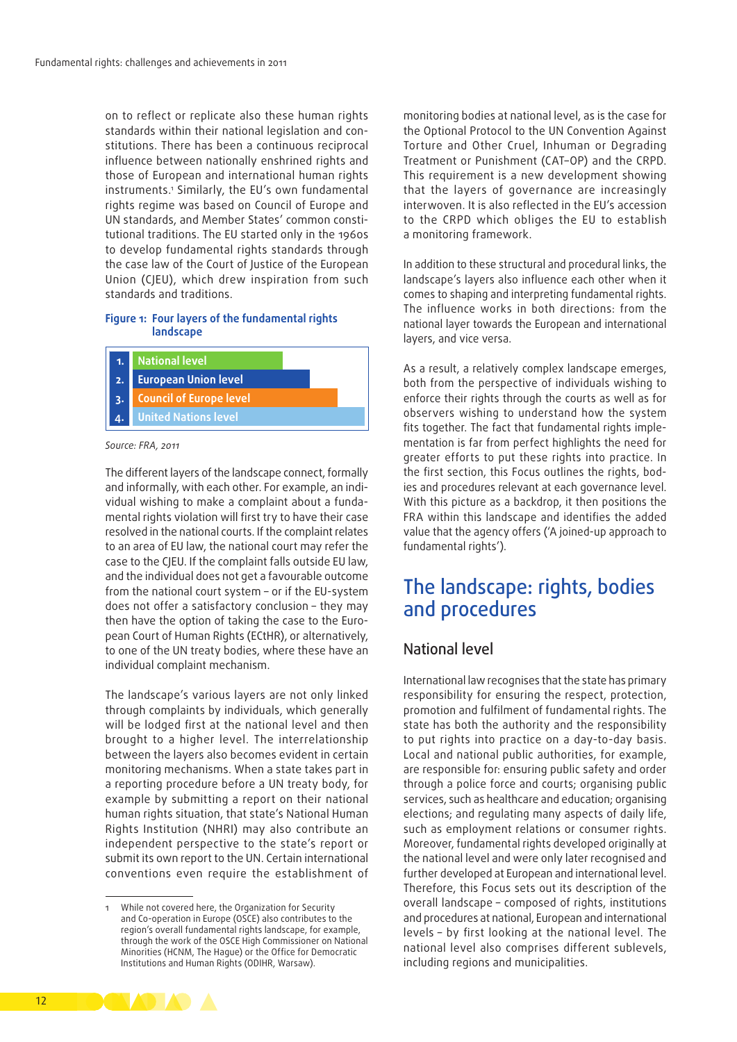on to reflect or replicate also these human rights standards within their national legislation and constitutions. There has been a continuous reciprocal influence between nationally enshrined rights and those of European and international human rights instruments.1 Similarly, the EU's own fundamental rights regime was based on Council of Europe and UN standards, and Member States' common constitutional traditions. The EU started only in the 1960s to develop fundamental rights standards through the case law of the Court of Justice of the European Union (CJEU), which drew inspiration from such standards and traditions.

#### **Figure 1: Four layers of the fundamental rights landscape**



#### *Source: FRA, 2011*

The different layers of the landscape connect, formally and informally, with each other. For example, an individual wishing to make a complaint about a fundamental rights violation will first try to have their case resolved in the national courts. If the complaint relates to an area of EU law, the national court may refer the case to the CJEU. If the complaint falls outside EU law, and the individual does not get a favourable outcome from the national court system – or if the EU‑system does not offer a satisfactory conclusion – they may then have the option of taking the case to the European Court of Human Rights (ECtHR), or alternatively, to one of the UN treaty bodies, where these have an individual complaint mechanism.

The landscape's various layers are not only linked through complaints by individuals, which generally will be lodged first at the national level and then brought to a higher level. The interrelationship between the layers also becomes evident in certain monitoring mechanisms. When a state takes part in a reporting procedure before a UN treaty body, for example by submitting a report on their national human rights situation, that state's National Human Rights Institution (NHRI) may also contribute an independent perspective to the state's report or submit its own report to the UN. Certain international conventions even require the establishment of monitoring bodies at national level, as is the case for the Optional Protocol to the UN Convention Against Torture and Other Cruel, Inhuman or Degrading Treatment or Punishment (CAT–OP) and the CRPD. This requirement is a new development showing that the layers of governance are increasingly interwoven. It is also reflected in the EU's accession to the CRPD which obliges the EU to establish a monitoring framework.

In addition to these structural and procedural links, the landscape's layers also influence each other when it comes to shaping and interpreting fundamental rights. The influence works in both directions: from the national layer towards the European and international layers, and vice versa.

As a result, a relatively complex landscape emerges, both from the perspective of individuals wishing to enforce their rights through the courts as well as for observers wishing to understand how the system fits together. The fact that fundamental rights implementation is far from perfect highlights the need for greater efforts to put these rights into practice. In the first section, this Focus outlines the rights, bodies and procedures relevant at each governance level. With this picture as a backdrop, it then positions the FRA within this landscape and identifies the added value that the agency offers ('A joined-up approach to fundamental rights').

# The landscape: rights, bodies and procedures

## National level

International law recognises that the state has primary responsibility for ensuring the respect, protection, promotion and fulfilment of fundamental rights. The state has both the authority and the responsibility to put rights into practice on a day-to-day basis. Local and national public authorities, for example, are responsible for: ensuring public safety and order through a police force and courts; organising public services, such as healthcare and education; organising elections; and regulating many aspects of daily life, such as employment relations or consumer rights. Moreover, fundamental rights developed originally at the national level and were only later recognised and further developed at European and international level. Therefore, this Focus sets out its description of the overall landscape – composed of rights, institutions and procedures at national, European and international levels – by first looking at the national level. The national level also comprises different sublevels, including regions and municipalities.



While not covered here, the Organization for Security and Co‑operation in Europe (OSCE) also contributes to the region's overall fundamental rights landscape, for example, through the work of the OSCE High Commissioner on National Minorities (HCNM, The Hague) or the Office for Democratic Institutions and Human Rights (ODIHR, Warsaw).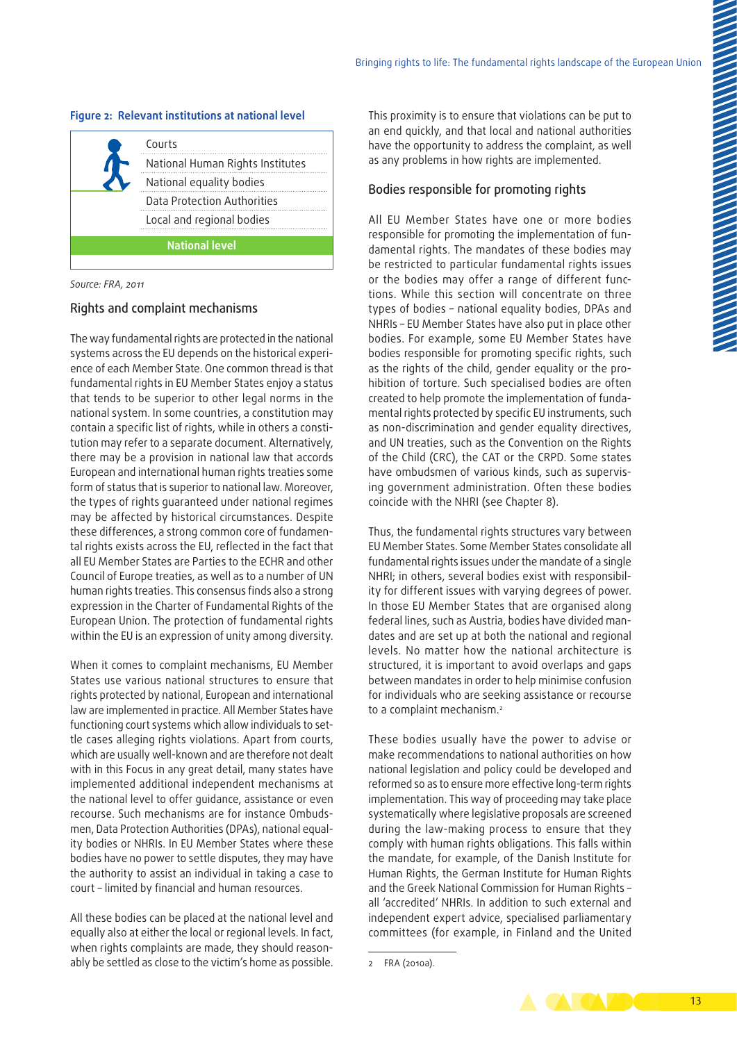#### **Figure 2: Relevant institutions at national level**

|                       | Courts                           |  |
|-----------------------|----------------------------------|--|
|                       | National Human Rights Institutes |  |
|                       | National equality bodies         |  |
|                       | Data Protection Authorities      |  |
|                       | Local and regional bodies        |  |
| <b>National level</b> |                                  |  |

*Source: FRA, 2011*

#### Rights and complaint mechanisms

The way fundamental rights are protected in the national systems across the EU depends on the historical experience of each Member State. One common thread is that fundamental rights in EU Member States enjoy a status that tends to be superior to other legal norms in the national system. In some countries, a constitution may contain a specific list of rights, while in others a constitution may refer to a separate document. Alternatively, there may be a provision in national law that accords European and international human rights treaties some form of status that is superior to national law. Moreover, the types of rights guaranteed under national regimes may be affected by historical circumstances. Despite these differences, a strong common core of fundamental rights exists across the EU, reflected in the fact that all EU Member States are Parties to the ECHR and other Council of Europe treaties, as well as to a number of UN human rights treaties. This consensus finds also a strong expression in the Charter of Fundamental Rights of the European Union. The protection of fundamental rights within the EU is an expression of unity among diversity.

When it comes to complaint mechanisms, EU Member States use various national structures to ensure that rights protected by national, European and international law are implemented in practice. All Member States have functioning court systems which allow individuals to settle cases alleging rights violations. Apart from courts, which are usually well-known and are therefore not dealt with in this Focus in any great detail, many states have implemented additional independent mechanisms at the national level to offer guidance, assistance or even recourse. Such mechanisms are for instance Ombudsmen, Data Protection Authorities (DPAs), national equality bodies or NHRIs. In EU Member States where these bodies have no power to settle disputes, they may have the authority to assist an individual in taking a case to court – limited by financial and human resources.

All these bodies can be placed at the national level and equally also at either the local or regional levels. In fact, when rights complaints are made, they should reasonably be settled as close to the victim's home as possible.

This proximity is to ensure that violations can be put to an end quickly, and that local and national authorities have the opportunity to address the complaint, as well as any problems in how rights are implemented.

#### Bodies responsible for promoting rights

All EU Member States have one or more bodies responsible for promoting the implementation of fundamental rights. The mandates of these bodies may be restricted to particular fundamental rights issues or the bodies may offer a range of different functions. While this section will concentrate on three types of bodies – national equality bodies, DPAs and NHRIs – EU Member States have also put in place other bodies. For example, some EU Member States have bodies responsible for promoting specific rights, such as the rights of the child, gender equality or the prohibition of torture. Such specialised bodies are often created to help promote the implementation of fundamental rights protected by specific EU instruments, such as non-discrimination and gender equality directives, and UN treaties, such as the Convention on the Rights of the Child (CRC), the CAT or the CRPD. Some states have ombudsmen of various kinds, such as supervising government administration. Often these bodies coincide with the NHRI (see Chapter 8).

Thus, the fundamental rights structures vary between EU Member States. Some Member States consolidate all fundamental rights issues under the mandate of a single NHRI; in others, several bodies exist with responsibility for different issues with varying degrees of power. In those EU Member States that are organised along federal lines, such as Austria, bodies have divided mandates and are set up at both the national and regional levels. No matter how the national architecture is structured, it is important to avoid overlaps and gaps between mandates in order to help minimise confusion for individuals who are seeking assistance or recourse to a complaint mechanism.<sup>2</sup>

These bodies usually have the power to advise or make recommendations to national authorities on how national legislation and policy could be developed and reformed so as to ensure more effective long‑term rights implementation. This way of proceeding may take place systematically where legislative proposals are screened during the law‑making process to ensure that they comply with human rights obligations. This falls within the mandate, for example, of the Danish Institute for Human Rights, the German Institute for Human Rights and the Greek National Commission for Human Rights – all 'accredited' NHRIs. In addition to such external and independent expert advice, specialised parliamentary committees (for example, in Finland and the United



<sup>2</sup> FRA (2010a).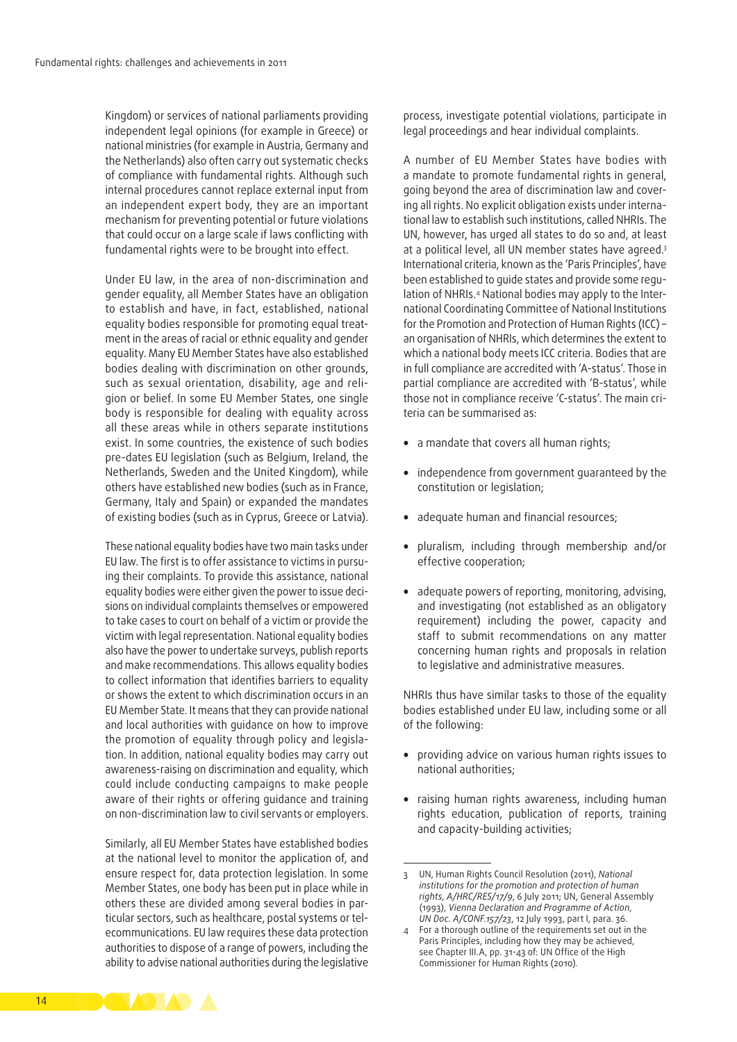Kingdom) or services of national parliaments providing independent legal opinions (for example in Greece) or national ministries (for example in Austria, Germany and the Netherlands) also often carry out systematic checks of compliance with fundamental rights. Although such internal procedures cannot replace external input from an independent expert body, they are an important mechanism for preventing potential or future violations that could occur on a large scale if laws conflicting with fundamental rights were to be brought into effect.

Under EU law, in the area of non-discrimination and gender equality, all Member States have an obligation to establish and have, in fact, established, national equality bodies responsible for promoting equal treatment in the areas of racial or ethnic equality and gender equality. Many EU Member States have also established bodies dealing with discrimination on other grounds, such as sexual orientation, disability, age and religion or belief. In some EU Member States, one single body is responsible for dealing with equality across all these areas while in others separate institutions exist. In some countries, the existence of such bodies pre‑dates EU legislation (such as Belgium, Ireland, the Netherlands, Sweden and the United Kingdom), while others have established new bodies (such as in France, Germany, Italy and Spain) or expanded the mandates of existing bodies (such as in Cyprus, Greece or Latvia).

These national equality bodies have two main tasks under EU law. The first is to offer assistance to victims in pursuing their complaints. To provide this assistance, national equality bodies were either given the power to issue decisions on individual complaints themselves or empowered to take cases to court on behalf of a victim or provide the victim with legal representation. National equality bodies also have the power to undertake surveys, publish reports and make recommendations. This allows equality bodies to collect information that identifies barriers to equality or shows the extent to which discrimination occurs in an EU Member State. It means that they can provide national and local authorities with guidance on how to improve the promotion of equality through policy and legislation. In addition, national equality bodies may carry out awareness‑raising on discrimination and equality, which could include conducting campaigns to make people aware of their rights or offering guidance and training on non‑discrimination law to civil servants or employers.

Similarly, all EU Member States have established bodies at the national level to monitor the application of, and ensure respect for, data protection legislation. In some Member States, one body has been put in place while in others these are divided among several bodies in particular sectors, such as healthcare, postal systems or telecommunications. EU law requires these data protection authorities to dispose of a range of powers, including the ability to advise national authorities during the legislative

process, investigate potential violations, participate in legal proceedings and hear individual complaints.

A number of EU Member States have bodies with a mandate to promote fundamental rights in general, going beyond the area of discrimination law and covering all rights. No explicit obligation exists under international law to establish such institutions, called NHRIs. The UN, however, has urged all states to do so and, at least at a political level, all UN member states have agreed.<sup>3</sup> International criteria, known as the 'Paris Principles', have been established to quide states and provide some requlation of NHRIs.<sup>4</sup> National bodies may apply to the International Coordinating Committee of National Institutions for the Promotion and Protection of Human Rights (ICC) – an organisation of NHRIs, which determines the extent to which a national body meets ICC criteria. Bodies that are in full compliance are accredited with 'A‑status'. Those in partial compliance are accredited with 'B-status', while those not in compliance receive 'C-status'. The main criteria can be summarised as:

- a mandate that covers all human rights;
- independence from government guaranteed by the constitution or legislation;
- adequate human and financial resources;
- pluralism, including through membership and/or effective cooperation;
- adequate powers of reporting, monitoring, advising, and investigating (not established as an obligatory requirement) including the power, capacity and staff to submit recommendations on any matter concerning human rights and proposals in relation to legislative and administrative measures.

NHRIs thus have similar tasks to those of the equality bodies established under EU law, including some or all of the following:

- providing advice on various human rights issues to national authorities;
- raising human rights awareness, including human rights education, publication of reports, training and capacity-building activities;



<sup>3</sup> UN, Human Rights Council Resolution (2011), *National institutions for the promotion and protection of human rights*, *A/HRC/RES/17/9*, 6 July 2011; UN, General Assembly (1993), *Vienna Declaration and Programme of Action*, *UN Doc. A/CONF.157/23*, 12 July 1993, part I, para. 36.

<sup>4</sup> For a thorough outline of the requirements set out in the Paris Principles, including how they may be achieved, see Chapter III.A, pp. 31-43 of: UN Office of the High Commissioner for Human Rights (2010).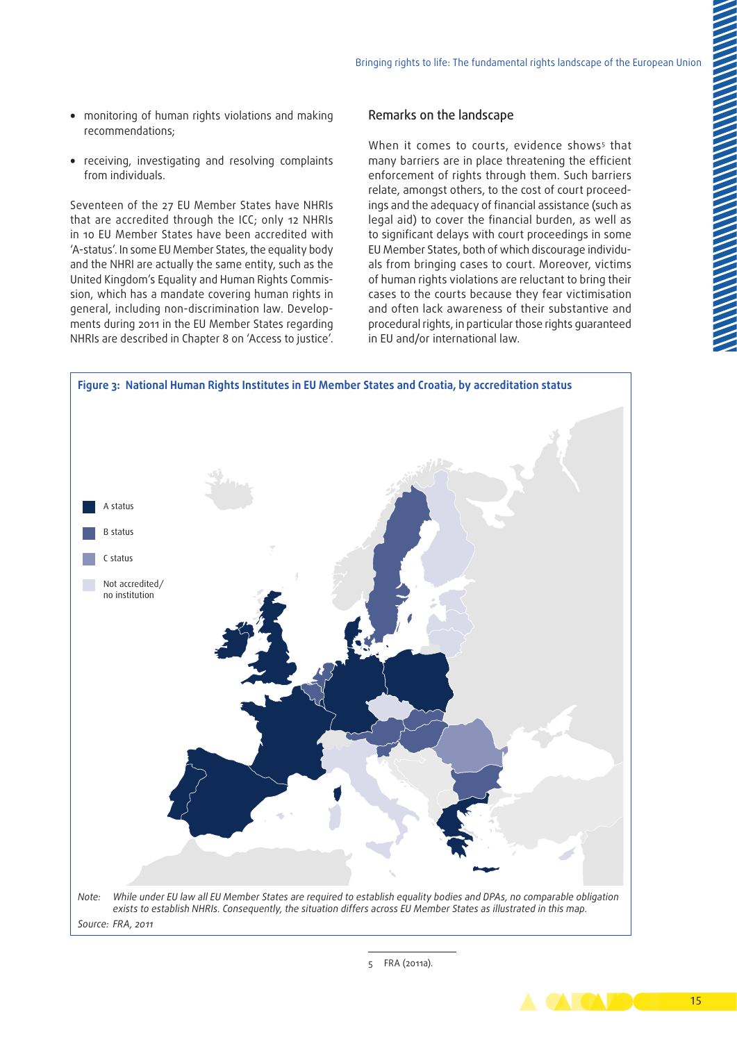- monitoring of human rights violations and making recommendations;
- receiving, investigating and resolving complaints from individuals.

Seventeen of the 27 EU Member States have NHRIs that are accredited through the ICC; only 12 NHRIs in 10 EU Member States have been accredited with 'A-status'. In some EU Member States, the equality body and the NHRI are actually the same entity, such as the United Kingdom's Equality and Human Rights Commis‑ sion, which has a mandate covering human rights in general, including non-discrimination law. Developments during 2011 in the EU Member States regarding NHRIs are described in Chapter 8 on 'Access to justice'.

#### Remarks on the landscape

When it comes to courts, evidence shows<sup>s</sup> that many barriers are in place threatening the efficient enforcement of rights through them. Such barriers relate, amongst others, to the cost of court proceedings and the adequacy of financial assistance (such as legal aid) to cover the financial burden, as well as to significant delays with court proceedings in some EU Member States, both of which discourage individuals from bringing cases to court. Moreover, victims of human rights violations are reluctant to bring their cases to the courts because they fear victimisation and often lack awareness of their substantive and procedural rights, in particular those rights guaranteed in EU and/or international law.



5 FRA (2011a).

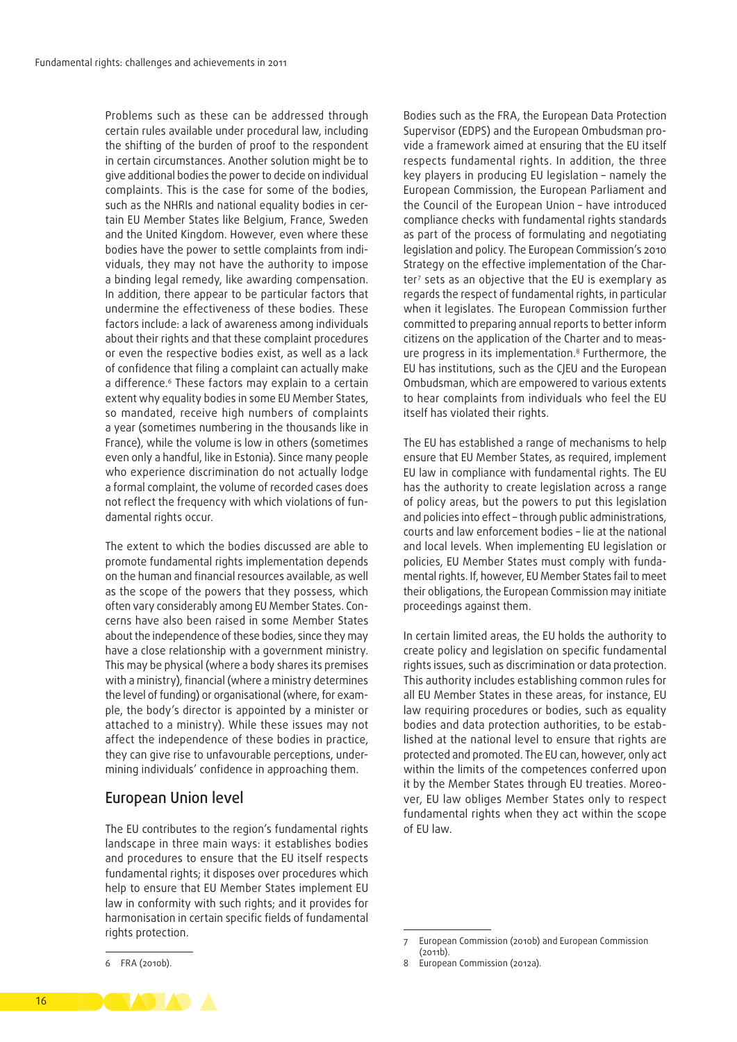Problems such as these can be addressed through certain rules available under procedural law, including the shifting of the burden of proof to the respondent in certain circumstances. Another solution might be to give additional bodies the power to decide on individual complaints. This is the case for some of the bodies, such as the NHRIs and national equality bodies in certain EU Member States like Belgium, France, Sweden and the United Kingdom. However, even where these bodies have the power to settle complaints from individuals, they may not have the authority to impose a binding legal remedy, like awarding compensation. In addition, there appear to be particular factors that undermine the effectiveness of these bodies. These factors include: a lack of awareness among individuals about their rights and that these complaint procedures or even the respective bodies exist, as well as a lack of confidence that filing a complaint can actually make a difference.<sup>6</sup> These factors may explain to a certain extent why equality bodies in some EU Member States, so mandated, receive high numbers of complaints a year (sometimes numbering in the thousands like in France), while the volume is low in others (sometimes even only a handful, like in Estonia). Since many people who experience discrimination do not actually lodge a formal complaint, the volume of recorded cases does not reflect the frequency with which violations of fundamental rights occur.

The extent to which the bodies discussed are able to promote fundamental rights implementation depends on the human and financial resources available, as well as the scope of the powers that they possess, which often vary considerably among EU Member States. Concerns have also been raised in some Member States about the independence of these bodies, since they may have a close relationship with a government ministry. This may be physical (where a body shares its premises with a ministry), financial (where a ministry determines the level of funding) or organisational (where, for example, the body's director is appointed by a minister or attached to a ministry). While these issues may not affect the independence of these bodies in practice, they can give rise to unfavourable perceptions, undermining individuals' confidence in approaching them.

## European Union level

The EU contributes to the region's fundamental rights landscape in three main ways: it establishes bodies and procedures to ensure that the EU itself respects fundamental rights; it disposes over procedures which help to ensure that EU Member States implement EU law in conformity with such rights; and it provides for harmonisation in certain specific fields of fundamental rights protection.

Bodies such as the FRA, the European Data Protection Supervisor (EDPS) and the European Ombudsman provide a framework aimed at ensuring that the EU itself respects fundamental rights. In addition, the three key players in producing EU legislation – namely the European Commission, the European Parliament and the Council of the European Union – have introduced compliance checks with fundamental rights standards as part of the process of formulating and negotiating legislation and policy. The European Commission's 2010 Strategy on the effective implementation of the Charter7 sets as an objective that the EU is exemplary as regards the respect of fundamental rights, in particular when it legislates. The European Commission further committed to preparing annual reports to better inform citizens on the application of the Charter and to measure progress in its implementation.8 Furthermore, the EU has institutions, such as the CJEU and the European Ombudsman, which are empowered to various extents to hear complaints from individuals who feel the EU itself has violated their rights.

The EU has established a range of mechanisms to help ensure that EU Member States, as required, implement EU law in compliance with fundamental rights. The EU has the authority to create legislation across a range of policy areas, but the powers to put this legislation and policies into effect – through public administrations, courts and law enforcement bodies – lie at the national and local levels. When implementing EU legislation or policies, EU Member States must comply with fundamental rights. If, however, EU Member States fail to meet their obligations, the European Commission may initiate proceedings against them.

In certain limited areas, the EU holds the authority to create policy and legislation on specific fundamental rights issues, such as discrimination or data protection. This authority includes establishing common rules for all EU Member States in these areas, for instance, EU law requiring procedures or bodies, such as equality bodies and data protection authorities, to be established at the national level to ensure that rights are protected and promoted. The EU can, however, only act within the limits of the competences conferred upon it by the Member States through EU treaties. Moreover, EU law obliges Member States only to respect fundamental rights when they act within the scope of EU law.

<sup>6</sup> FRA (2010b).

<sup>7</sup> European Commission (2010b) and European Commission  $(2011b)$ .

<sup>8</sup> European Commission (2012a).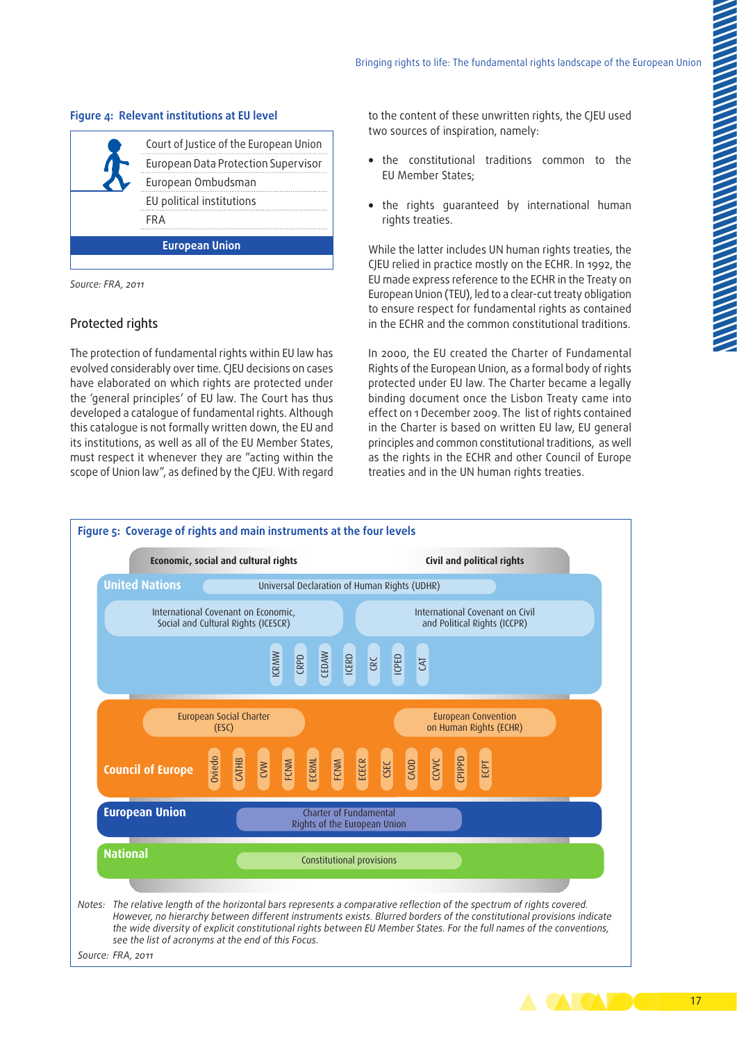|                       | Court of Justice of the European Union |  |
|-----------------------|----------------------------------------|--|
|                       | European Data Protection Supervisor    |  |
|                       | European Ombudsman                     |  |
|                       | EU political institutions              |  |
|                       | FRA                                    |  |
| <b>European Union</b> |                                        |  |
|                       |                                        |  |

#### **Figure 4: Relevant institutions at EU level**

*Source: FRA, 2011*

#### Protected rights

The protection of fundamental rights within EU law has evolved considerably over time. CJEU decisions on cases have elaborated on which rights are protected under the 'general principles' of EU law. The Court has thus developed a catalogue of fundamental rights. Although this catalogue is not formally written down, the EU and its institutions, as well as all of the EU Member States, must respect it whenever they are "acting within the scope of Union law", as defined by the CJEU. With regard to the content of these unwritten rights, the CJEU used two sources of inspiration, namely:

- the constitutional traditions common to the EU Member States;
- the rights guaranteed by international human rights treaties.

While the latter includes UN human rights treaties, the CJEU relied in practice mostly on the ECHR. In 1992, the EU made express reference to the ECHR in the Treaty on European Union (TEU), led to a clear-cut treaty obligation to ensure respect for fundamental rights as contained in the ECHR and the common constitutional traditions.

In 2000, the EU created the Charter of Fundamental Rights of the European Union, as a formal body of rights protected under EU law. The Charter became a legally binding document once the Lisbon Treaty came into effect on 1 December 2009. The list of rights contained in the Charter is based on written EU law, EU general principles and common constitutional traditions, as well as the rights in the ECHR and other Council of Europe treaties and in the UN human rights treaties.



17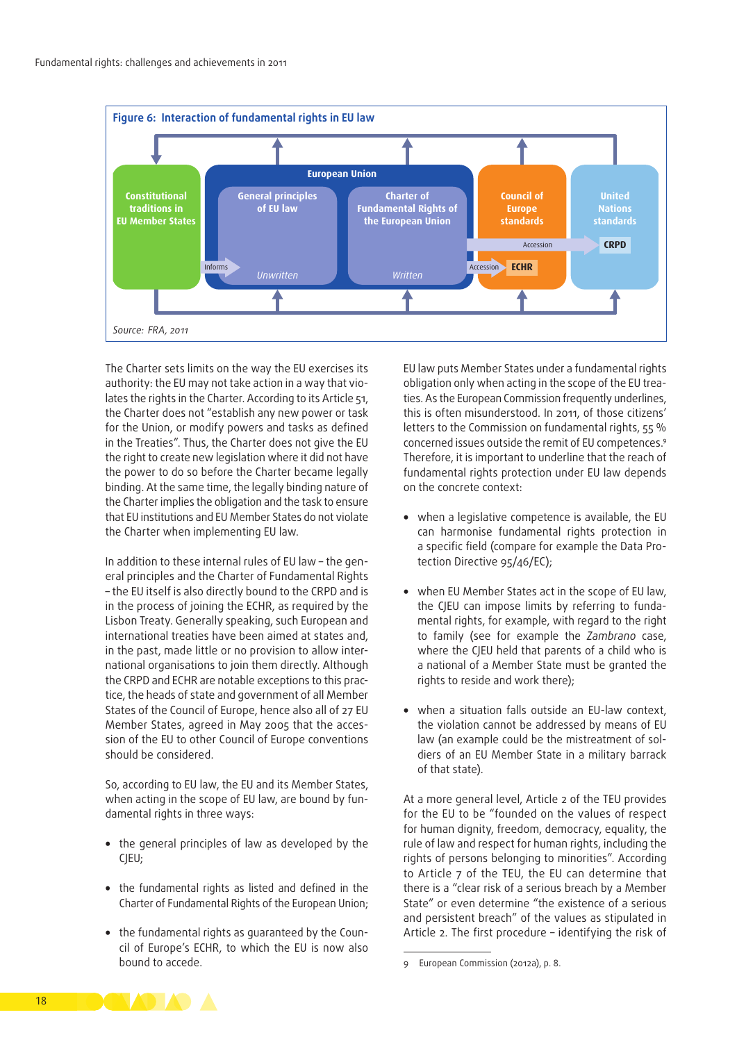

The Charter sets limits on the way the EU exercises its authority: the EU may not take action in a way that violates the rights in the Charter. According to its Article 51, the Charter does not "establish any new power or task for the Union, or modify powers and tasks as defined in the Treaties". Thus, the Charter does not give the EU the right to create new legislation where it did not have the power to do so before the Charter became legally binding. At the same time, the legally binding nature of the Charter implies the obligation and the task to ensure that EU institutions and EU Member States do not violate the Charter when implementing EU law.

In addition to these internal rules of EU law - the general principles and the Charter of Fundamental Rights – the EU itself is also directly bound to the CRPD and is in the process of joining the ECHR, as required by the Lisbon Treaty. Generally speaking, such European and international treaties have been aimed at states and, in the past, made little or no provision to allow international organisations to join them directly. Although the CRPD and ECHR are notable exceptions to this practice, the heads of state and government of all Member States of the Council of Europe, hence also all of 27 EU Member States, agreed in May 2005 that the accession of the EU to other Council of Europe conventions should be considered.

So, according to EU law, the EU and its Member States, when acting in the scope of EU law, are bound by fundamental rights in three ways:

- the general principles of law as developed by the CJEU;
- the fundamental rights as listed and defined in the Charter of Fundamental Rights of the European Union;
- the fundamental rights as guaranteed by the Council of Europe's ECHR, to which the EU is now also bound to accede.

EU law puts Member States under a fundamental rights obligation only when acting in the scope of the EU treaties. As the European Commission frequently underlines, this is often misunderstood. In 2011, of those citizens' letters to the Commission on fundamental rights, 55 % concerned issues outside the remit of EU competences.9 Therefore, it is important to underline that the reach of fundamental rights protection under EU law depends on the concrete context:

- when a legislative competence is available, the EU can harmonise fundamental rights protection in a specific field (compare for example the Data Protection Directive 95/46/EC);
- when EU Member States act in the scope of EU law, the CJEU can impose limits by referring to fundamental rights, for example, with regard to the right to family (see for example the *Zambrano* case, where the CJEU held that parents of a child who is a national of a Member State must be granted the rights to reside and work there);
- when a situation falls outside an EU‑law context, the violation cannot be addressed by means of EU law (an example could be the mistreatment of soldiers of an EU Member State in a military barrack of that state).

At a more general level, Article 2 of the TEU provides for the EU to be "founded on the values of respect for human dignity, freedom, democracy, equality, the rule of law and respect for human rights, including the rights of persons belonging to minorities". According to Article 7 of the TEU, the EU can determine that there is a "clear risk of a serious breach by a Member State" or even determine "the existence of a serious and persistent breach" of the values as stipulated in Article 2. The first procedure – identifying the risk of



<sup>9</sup> European Commission (2012a), p. 8.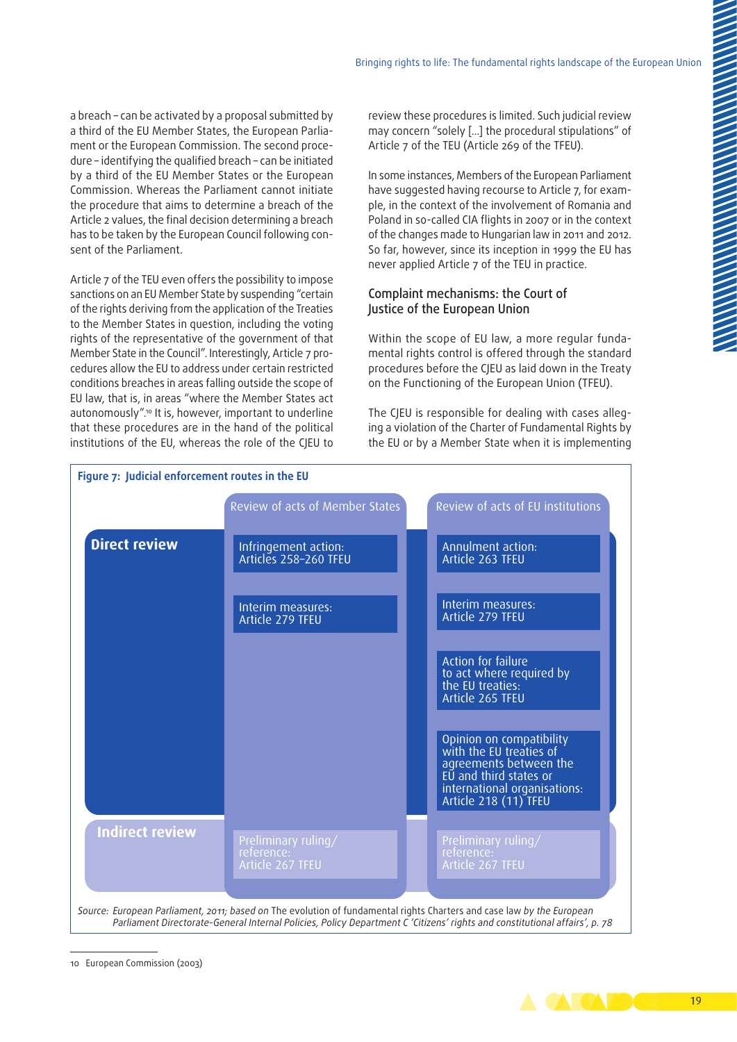a breach – can be activated by a proposal submitted by a third of the EU Member States, the European Parliament or the European Commission. The second procedure – identifying the qualified breach – can be initiated by a third of the EU Member States or the European Commission. Whereas the Parliament cannot initiate the procedure that aims to determine a breach of the Article 2 values, the final decision determining a breach has to be taken by the European Council following consent of the Parliament.

Article 7 of the TEU even offers the possibility to impose sanctions on an EU Member State by suspending "certain of the rights deriving from the application of the Treaties to the Member States in question, including the voting rights of the representative of the government of that Member State in the Council". Interestingly, Article 7 procedures allow the EU to address under certain restricted conditions breaches in areas falling outside the scope of EU law, that is, in areas "where the Member States act autonomously".10 It is, however, important to underline that these procedures are in the hand of the political institutions of the EU, whereas the role of the CJEU to

review these procedures is limited. Such judicial review may concern "solely […] the procedural stipulations" of Article 7 of the TEU (Article 269 of the TFEU).

In some instances, Members of the European Parliament have suggested having recourse to Article 7, for example, in the context of the involvement of Romania and Poland in so-called CIA flights in 2007 or in the context of the changes made to Hungarian law in 2011 and 2012. So far, however, since its inception in 1999 the EU has never applied Article 7 of the TEU in practice.

#### Complaint mechanisms: the Court of Justice of the European Union

Within the scope of EU law, a more regular fundamental rights control is offered through the standard procedures before the CJEU as laid down in the Treaty on the Functioning of the European Union (TFEU).

The CJEU is responsible for dealing with cases alleging a violation of the Charter of Fundamental Rights by the EU or by a Member State when it is implementing



<sup>10</sup> European Commission (2003)

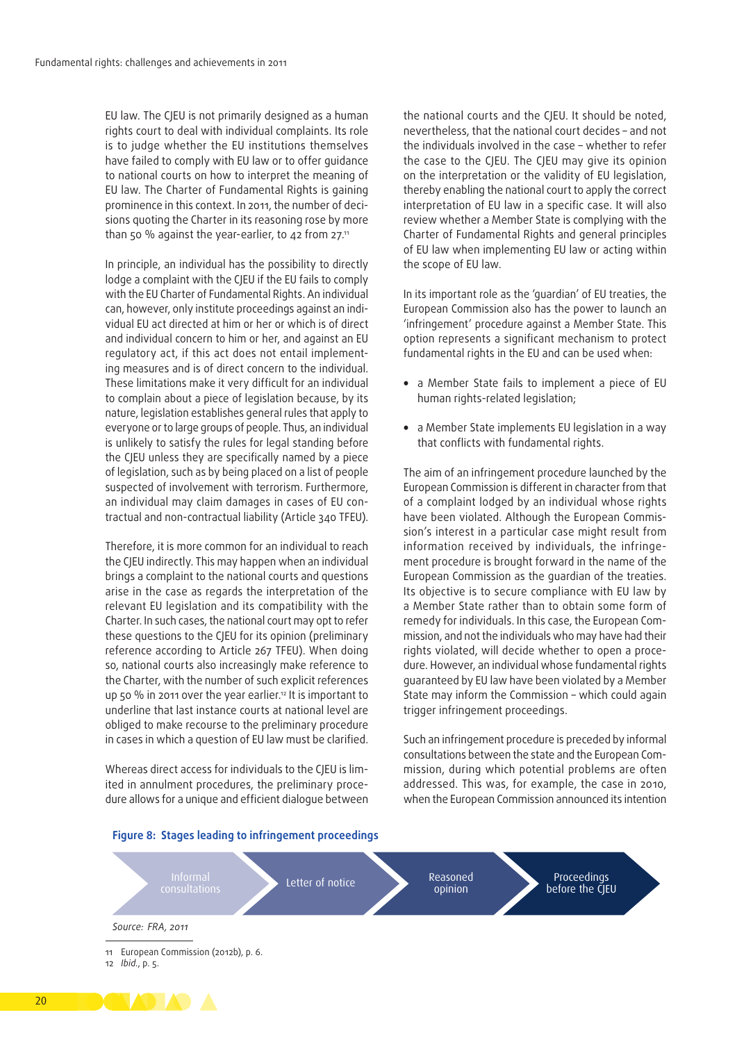EU law. The CJEU is not primarily designed as a human rights court to deal with individual complaints. Its role is to judge whether the EU institutions themselves have failed to comply with EU law or to offer guidance to national courts on how to interpret the meaning of EU law. The Charter of Fundamental Rights is gaining prominence in this context. In 2011, the number of decisions quoting the Charter in its reasoning rose by more than 50 % against the year-earlier, to 42 from  $27$ .<sup>11</sup>

In principle, an individual has the possibility to directly lodge a complaint with the CJEU if the EU fails to comply with the EU Charter of Fundamental Rights. An individual can, however, only institute proceedings against an individual EU act directed at him or her or which is of direct and individual concern to him or her, and against an EU regulatory act, if this act does not entail implementing measures and is of direct concern to the individual. These limitations make it very difficult for an individual to complain about a piece of legislation because, by its nature, legislation establishes general rules that apply to everyone or to large groups of people. Thus, an individual is unlikely to satisfy the rules for legal standing before the CJEU unless they are specifically named by a piece of legislation, such as by being placed on a list of people suspected of involvement with terrorism. Furthermore, an individual may claim damages in cases of EU contractual and non-contractual liability (Article 340 TFEU).

Therefore, it is more common for an individual to reach the CJEU indirectly. This may happen when an individual brings a complaint to the national courts and questions arise in the case as regards the interpretation of the relevant EU legislation and its compatibility with the Charter. In such cases, the national court may opt to refer these questions to the CJEU for its opinion (preliminary reference according to Article 267 TFEU). When doing so, national courts also increasingly make reference to the Charter, with the number of such explicit references up 50 % in 2011 over the year earlier.<sup>12</sup> It is important to underline that last instance courts at national level are obliged to make recourse to the preliminary procedure in cases in which a question of EU law must be clarified.

Whereas direct access for individuals to the CJEU is limited in annulment procedures, the preliminary procedure allows for a unique and efficient dialogue between the national courts and the CJEU. It should be noted, nevertheless, that the national court decides – and not the individuals involved in the case – whether to refer the case to the CJEU. The CJEU may give its opinion on the interpretation or the validity of EU legislation, thereby enabling the national court to apply the correct interpretation of EU law in a specific case. It will also review whether a Member State is complying with the Charter of Fundamental Rights and general principles of EU law when implementing EU law or acting within the scope of EU law.

In its important role as the 'guardian' of EU treaties, the European Commission also has the power to launch an 'infringement' procedure against a Member State. This option represents a significant mechanism to protect fundamental rights in the EU and can be used when:

- a Member State fails to implement a piece of EU human rights‑related legislation;
- a Member State implements EU legislation in a way that conflicts with fundamental rights.

The aim of an infringement procedure launched by the European Commission is different in character from that of a complaint lodged by an individual whose rights have been violated. Although the European Commission's interest in a particular case might result from information received by individuals, the infringement procedure is brought forward in the name of the European Commission as the guardian of the treaties. Its objective is to secure compliance with EU law by a Member State rather than to obtain some form of remedy for individuals. In this case, the European Commission, and not the individuals who may have had their rights violated, will decide whether to open a procedure. However, an individual whose fundamental rights guaranteed by EU law have been violated by a Member State may inform the Commission – which could again trigger infringement proceedings.

Such an infringement procedure is preceded by informal consultations between the state and the European Commission, during which potential problems are often addressed. This was, for example, the case in 2010, when the European Commission announced its intention



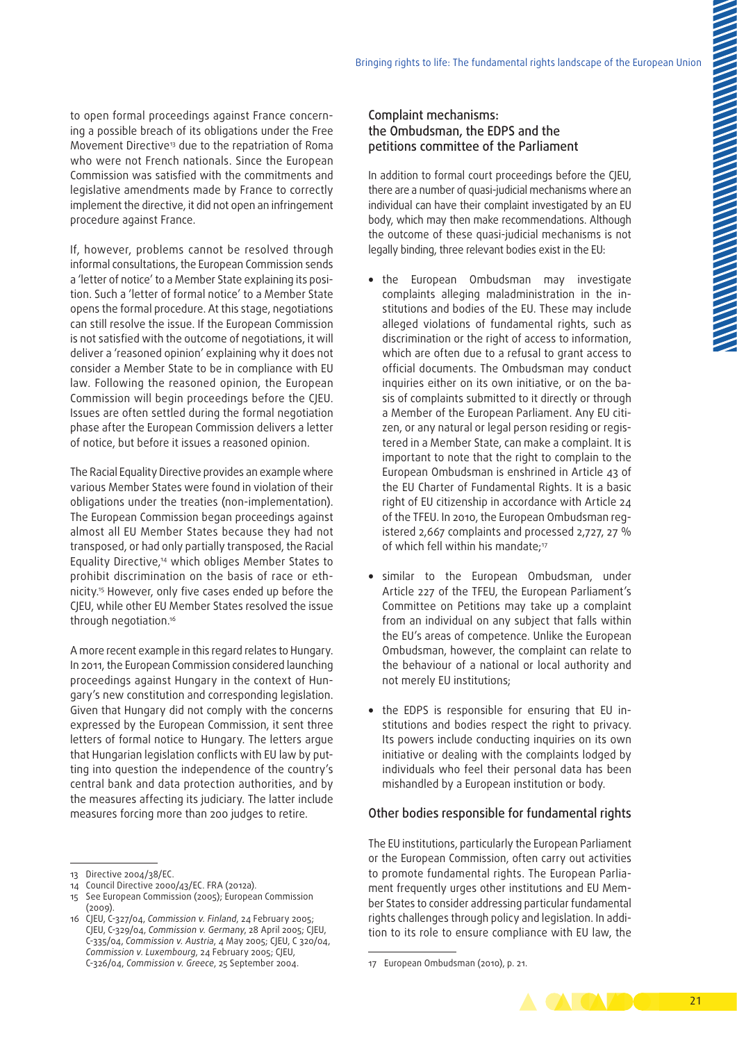to open formal proceedings against France concerning a possible breach of its obligations under the Free Movement Directive13 due to the repatriation of Roma who were not French nationals. Since the European Commission was satisfied with the commitments and legislative amendments made by France to correctly implement the directive, it did not open an infringement procedure against France.

If, however, problems cannot be resolved through informal consultations, the European Commission sends a 'letter of notice' to a Member State explaining its position. Such a 'letter of formal notice' to a Member State opens the formal procedure. At this stage, negotiations can still resolve the issue. If the European Commission is not satisfied with the outcome of negotiations, it will deliver a 'reasoned opinion' explaining why it does not consider a Member State to be in compliance with EU law. Following the reasoned opinion, the European Commission will begin proceedings before the CJEU. Issues are often settled during the formal negotiation phase after the European Commission delivers a letter of notice, but before it issues a reasoned opinion.

The Racial Equality Directive provides an example where various Member States were found in violation of their obligations under the treaties (non‑implementation). The European Commission began proceedings against almost all EU Member States because they had not transposed, or had only partially transposed, the Racial Equality Directive,14 which obliges Member States to prohibit discrimination on the basis of race or ethnicity.15 However, only five cases ended up before the CJEU, while other EU Member States resolved the issue through negotiation.16

A more recent example in this regard relates to Hungary. In 2011, the European Commission considered launching proceedings against Hungary in the context of Hungary's new constitution and corresponding legislation. Given that Hungary did not comply with the concerns expressed by the European Commission, it sent three letters of formal notice to Hungary. The letters argue that Hungarian legislation conflicts with EU law by putting into question the independence of the country's central bank and data protection authorities, and by the measures affecting its judiciary. The latter include measures forcing more than 200 judges to retire.

#### Complaint mechanisms: the Ombudsman, the EDPS and the petitions committee of the Parliament

In addition to formal court proceedings before the CJEU, there are a number of quasi‑judicial mechanisms where an individual can have their complaint investigated by an EU body, which may then make recommendations. Although the outcome of these quasi‑judicial mechanisms is not legally binding, three relevant bodies exist in the EU:

- the European Ombudsman may investigate complaints alleging maladministration in the institutions and bodies of the EU. These may include alleged violations of fundamental rights, such as discrimination or the right of access to information, which are often due to a refusal to grant access to official documents. The Ombudsman may conduct inquiries either on its own initiative, or on the basis of complaints submitted to it directly or through a Member of the European Parliament. Any EU citizen, or any natural or legal person residing or registered in a Member State, can make a complaint. It is important to note that the right to complain to the European Ombudsman is enshrined in Article 43 of the EU Charter of Fundamental Rights. It is a basic right of EU citizenship in accordance with Article 24 of the TFEU. In 2010, the European Ombudsman reg‑ istered 2,667 complaints and processed 2,727, 27 % of which fell within his mandate;<sup>17</sup>
- similar to the European Ombudsman, under Article 227 of the TFEU, the European Parliament's Committee on Petitions may take up a complaint from an individual on any subject that falls within the EU's areas of competence. Unlike the European Ombudsman, however, the complaint can relate to the behaviour of a national or local authority and not merely EU institutions;
- the EDPS is responsible for ensuring that EU institutions and bodies respect the right to privacy. Its powers include conducting inquiries on its own initiative or dealing with the complaints lodged by individuals who feel their personal data has been mishandled by a European institution or body.

#### Other bodies responsible for fundamental rights

The EU institutions, particularly the European Parliament or the European Commission, often carry out activities to promote fundamental rights. The European Parliament frequently urges other institutions and EU Member States to consider addressing particular fundamental rights challenges through policy and legislation. In addition to its role to ensure compliance with EU law, the

<sup>17</sup> European Ombudsman (2010), p. 21.



<sup>13</sup> Directive 2004/38/EC.

<sup>14</sup> Council Directive 2000/43/EC. FRA (2012a).

<sup>15</sup> See European Commission (2005); European Commission  $(2009)$ .

<sup>16</sup> CJEU, C-327/04, *Commission v. Finland*, 24 February 2005; CJEU, C-329/04, *Commission v. Germany*, 28 April 2005; CJEU, C-335/04, *Commission v. Austria*, 4 May 2005; CJEU, C 320/04, *Commission v. Luxembourg*, 24 February 2005; CJEU, C-326/04, *Commission v. Greece*, 25 September 2004.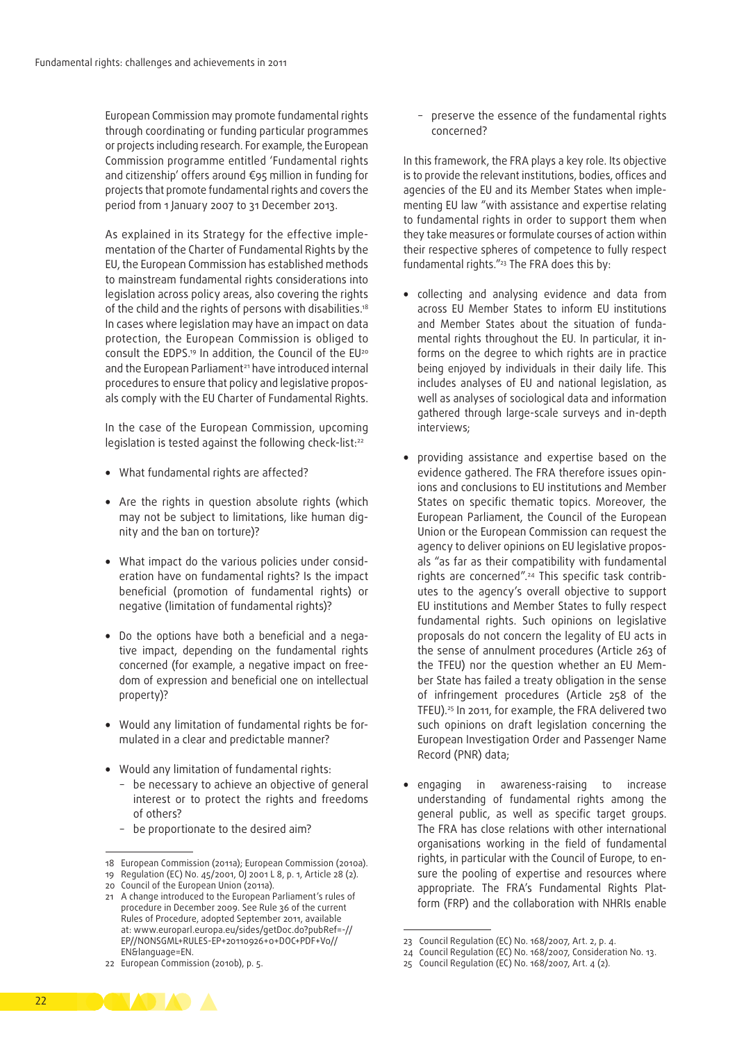European Commission may promote fundamental rights through coordinating or funding particular programmes or projects including research. For example, the European Commission programme entitled 'Fundamental rights and citizenship' offers around €95 million in funding for projects that promote fundamental rights and covers the period from 1 January 2007 to 31 December 2013.

As explained in its Strategy for the effective implementation of the Charter of Fundamental Rights by the EU, the European Commission has established methods to mainstream fundamental rights considerations into legislation across policy areas, also covering the rights of the child and the rights of persons with disabilities.<sup>18</sup> In cases where legislation may have an impact on data protection, the European Commission is obliged to consult the EDPS.<sup>19</sup> In addition, the Council of the EU<sup>20</sup> and the European Parliament<sup>21</sup> have introduced internal procedures to ensure that policy and legislative proposals comply with the EU Charter of Fundamental Rights.

In the case of the European Commission, upcoming legislation is tested against the following check-list:<sup>22</sup>

- What fundamental rights are affected?
- Are the rights in question absolute rights (which may not be subject to limitations, like human dignity and the ban on torture)?
- What impact do the various policies under consideration have on fundamental rights? Is the impact beneficial (promotion of fundamental rights) or negative (limitation of fundamental rights)?
- Do the options have both a beneficial and a negative impact, depending on the fundamental rights concerned (for example, a negative impact on free‑ dom of expression and beneficial one on intellectual property)?
- Would any limitation of fundamental rights be formulated in a clear and predictable manner?
- Would any limitation of fundamental rights:
	- − be necessary to achieve an objective of general interest or to protect the rights and freedoms of others?
	- be proportionate to the desired aim?
- 18 European Commission (2011a); European Commission (2010a).

− preserve the essence of the fundamental rights concerned?

In this framework, the FRA plays a key role. Its objective is to provide the relevant institutions, bodies, offices and agencies of the EU and its Member States when implementing EU law "with assistance and expertise relating to fundamental rights in order to support them when they take measures or formulate courses of action within their respective spheres of competence to fully respect fundamental rights."23 The FRA does this by:

- collecting and analysing evidence and data from across EU Member States to inform EU institutions and Member States about the situation of fundamental rights throughout the EU. In particular, it informs on the degree to which rights are in practice being enjoyed by individuals in their daily life. This includes analyses of EU and national legislation, as well as analyses of sociological data and information gathered through large‑scale surveys and in‑depth interviews;
- providing assistance and expertise based on the evidence gathered. The FRA therefore issues opinions and conclusions to EU institutions and Member States on specific thematic topics. Moreover, the European Parliament, the Council of the European Union or the European Commission can request the agency to deliver opinions on EU legislative proposals "as far as their compatibility with fundamental rights are concerned".<sup>24</sup> This specific task contributes to the agency's overall objective to support EU institutions and Member States to fully respect fundamental rights. Such opinions on legislative proposals do not concern the legality of EU acts in the sense of annulment procedures (Article 263 of the TFEU) nor the question whether an EU Mem‑ ber State has failed a treaty obligation in the sense of infringement procedures (Article 258 of the TFEU).25 In 2011, for example, the FRA delivered two such opinions on draft legislation concerning the European Investigation Order and Passenger Name Record (PNR) data;
- engaging in awareness‑raising to increase understanding of fundamental rights among the general public, as well as specific target groups. The FRA has close relations with other international organisations working in the field of fundamental rights, in particular with the Council of Europe, to ensure the pooling of expertise and resources where appropriate. The FRA's Fundamental Rights Platform (FRP) and the collaboration with NHRIs enable



<sup>19</sup> Regulation (EC) No. 45/2001, OJ 2001 L 8, p. 1, Article 28 (2).

<sup>20</sup> Council of the European Union (2011a).

<sup>21</sup> A change introduced to the European Parliament's rules of procedure in December 2009. See Rule 36 of the current Rules of Procedure, adopted September 2011, available at: [www.europarl.europa.eu/sides/getDoc.do?pubRef=-//](http://www.europarl.europa.eu/sides/getDoc.do?pubRef=-//EP//NONSGML+RULES<2011>EP+20110926+0+DOC+PDF+V0//EN&language=EN) [EP//NONSGML+RULES-EP+20110926+0+DOC+PDF+V0//](http://www.europarl.europa.eu/sides/getDoc.do?pubRef=-//EP//NONSGML+RULES<2011>EP+20110926+0+DOC+PDF+V0//EN&language=EN) [EN&language=EN.](http://www.europarl.europa.eu/sides/getDoc.do?pubRef=-//EP//NONSGML+RULES<2011>EP+20110926+0+DOC+PDF+V0//EN&language=EN)

<sup>22</sup> European Commission (2010b), p. 5.

<sup>23</sup> Council Regulation (EC) No. 168/2007, Art. 2, p. 4.

<sup>24</sup> Council Regulation (EC) No. 168/2007, Consideration No. 13.

<sup>25</sup> Council Regulation (EC) No. 168/2007, Art. 4 (2).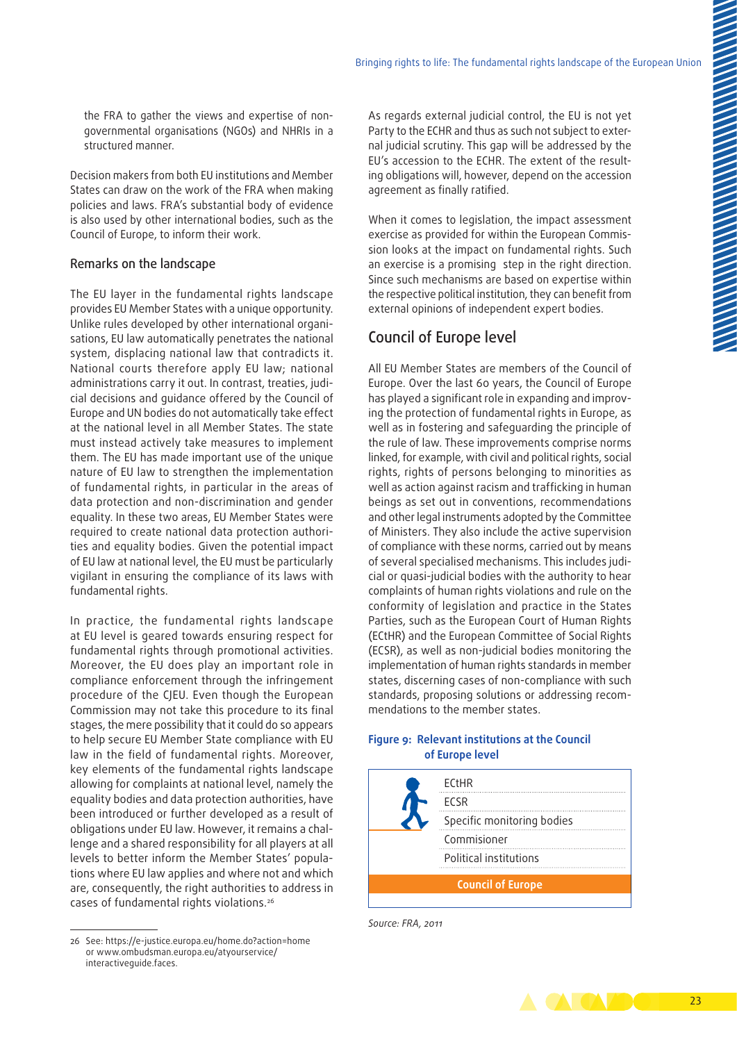the FRA to gather the views and expertise of nongovernmental organisations (NGOs) and NHRIs in a structured manner.

Decision makers from both EU institutions and Member States can draw on the work of the FRA when making policies and laws. FRA's substantial body of evidence is also used by other international bodies, such as the Council of Europe, to inform their work.

#### Remarks on the landscape

The EU layer in the fundamental rights landscape provides EU Member States with a unique opportunity. Unlike rules developed by other international organisations, EU law automatically penetrates the national system, displacing national law that contradicts it. National courts therefore apply EU law; national administrations carry it out. In contrast, treaties, judicial decisions and guidance offered by the Council of Europe and UN bodies do not automatically take effect at the national level in all Member States. The state must instead actively take measures to implement them. The EU has made important use of the unique nature of EU law to strengthen the implementation of fundamental rights, in particular in the areas of data protection and non-discrimination and gender equality. In these two areas, EU Member States were required to create national data protection authorities and equality bodies. Given the potential impact of EU law at national level, the EU must be particularly vigilant in ensuring the compliance of its laws with fundamental rights.

In practice, the fundamental rights landscape at EU level is geared towards ensuring respect for fundamental rights through promotional activities. Moreover, the EU does play an important role in compliance enforcement through the infringement procedure of the CJEU. Even though the European Commission may not take this procedure to its final stages, the mere possibility that it could do so appears to help secure EU Member State compliance with EU law in the field of fundamental rights. Moreover, key elements of the fundamental rights landscape allowing for complaints at national level, namely the equality bodies and data protection authorities, have been introduced or further developed as a result of obligations under EU law. However, it remains a challenge and a shared responsibility for all players at all levels to better inform the Member States' populations where EU law applies and where not and which are, consequently, the right authorities to address in cases of fundamental rights violations.26

As regards external judicial control, the EU is not yet Party to the ECHR and thus as such not subject to external judicial scrutiny. This gap will be addressed by the EU's accession to the ECHR. The extent of the resulting obligations will, however, depend on the accession agreement as finally ratified.

When it comes to legislation, the impact assessment exercise as provided for within the European Commission looks at the impact on fundamental rights. Such an exercise is a promising step in the right direction. Since such mechanisms are based on expertise within the respective political institution, they can benefit from external opinions of independent expert bodies.

## Council of Europe level

All EU Member States are members of the Council of Europe. Over the last 60 years, the Council of Europe has played a significant role in expanding and improving the protection of fundamental rights in Europe, as well as in fostering and safeguarding the principle of the rule of law. These improvements comprise norms linked, for example, with civil and political rights, social rights, rights of persons belonging to minorities as well as action against racism and trafficking in human beings as set out in conventions, recommendations and other legal instruments adopted by the Committee of Ministers. They also include the active supervision of compliance with these norms, carried out by means of several specialised mechanisms. This includes judicial or quasi‑judicial bodies with the authority to hear complaints of human rights violations and rule on the conformity of legislation and practice in the States Parties, such as the European Court of Human Rights (ECtHR) and the European Committee of Social Rights (ECSR), as well as non‑judicial bodies monitoring the implementation of human rights standards in member states, discerning cases of non‑compliance with such standards, proposing solutions or addressing recommendations to the member states.

#### **Figure 9: Relevant institutions at the Council of Europe level**







<sup>26</sup> See: https://e-justice.europa.eu/home.do?action=home or www.ombudsman.europa.eu/atyourservice/ interactiveguide.faces.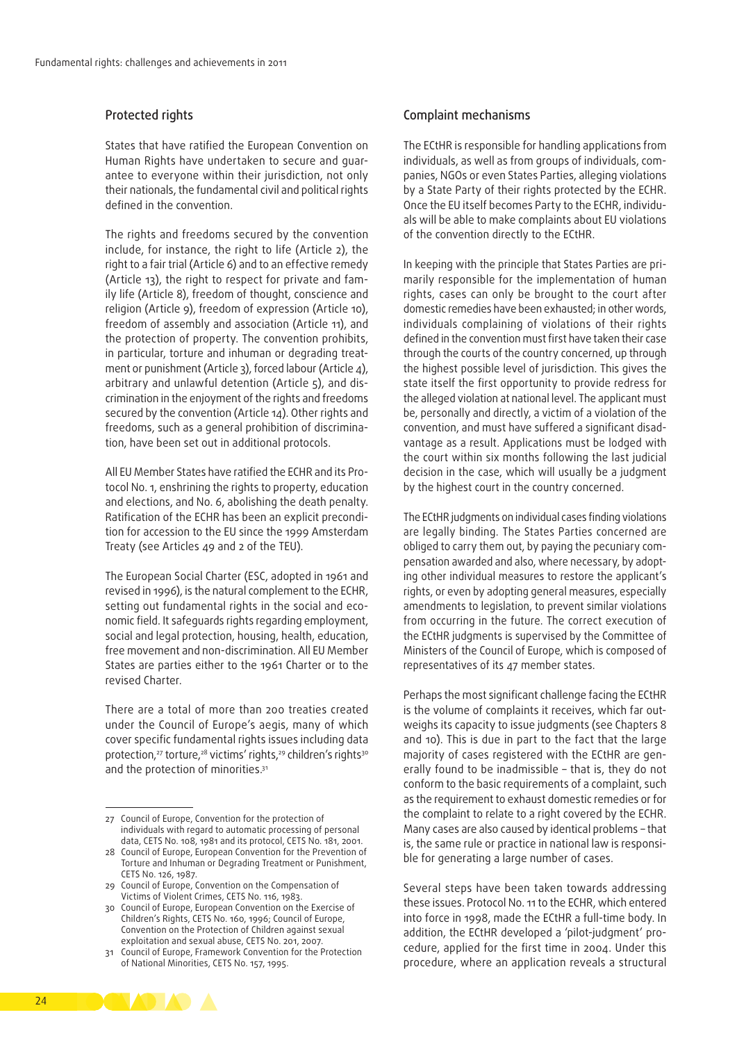#### Protected rights

States that have ratified the European Convention on Human Rights have undertaken to secure and guarantee to everyone within their jurisdiction, not only their nationals, the fundamental civil and political rights defined in the convention.

The rights and freedoms secured by the convention include, for instance, the right to life (Article 2), the right to a fair trial (Article 6) and to an effective remedy (Article 13), the right to respect for private and family life (Article 8), freedom of thought, conscience and religion (Article 9), freedom of expression (Article 10), freedom of assembly and association (Article 11), and the protection of property. The convention prohibits, in particular, torture and inhuman or degrading treatment or punishment (Article 3), forced labour (Article 4), arbitrary and unlawful detention (Article 5), and discrimination in the enjoyment of the rights and freedoms secured by the convention (Article 14). Other rights and freedoms, such as a general prohibition of discrimination, have been set out in additional protocols.

All EU Member States have ratified the ECHR and its Protocol No. 1, enshrining the rights to property, education and elections, and No. 6, abolishing the death penalty. Ratification of the ECHR has been an explicit precondition for accession to the EU since the 1999 Amsterdam Treaty (see Articles 49 and 2 of the TEU).

The European Social Charter (ESC, adopted in 1961 and revised in 1996), is the natural complement to the ECHR, setting out fundamental rights in the social and economic field. It safeguards rights regarding employment, social and legal protection, housing, health, education, free movement and non‑discrimination. All EU Member States are parties either to the 1961 Charter or to the revised Charter.

There are a total of more than 200 treaties created under the Council of Europe's aegis, many of which cover specific fundamental rights issues including data protection,<sup>27</sup> torture,<sup>28</sup> victims' rights,<sup>29</sup> children's rights<sup>30</sup> and the protection of minorities.<sup>31</sup>

28 Council of Europe, European Convention for the Prevention of Torture and Inhuman or Degrading Treatment or Punishment, CETS No. 126, 1987.

29 Council of Europe, Convention on the Compensation of Victims of Violent Crimes, CETS No. 116, 1983.

#### Complaint mechanisms

The ECtHR is responsible for handling applications from individuals, as well as from groups of individuals, companies, NGOs or even States Parties, alleging violations by a State Party of their rights protected by the ECHR. Once the EU itself becomes Party to the ECHR, individuals will be able to make complaints about EU violations of the convention directly to the ECtHR.

In keeping with the principle that States Parties are primarily responsible for the implementation of human rights, cases can only be brought to the court after domestic remedies have been exhausted; in other words, individuals complaining of violations of their rights defined in the convention must first have taken their case through the courts of the country concerned, up through the highest possible level of jurisdiction. This gives the state itself the first opportunity to provide redress for the alleged violation at national level. The applicant must be, personally and directly, a victim of a violation of the convention, and must have suffered a significant disadvantage as a result. Applications must be lodged with the court within six months following the last judicial decision in the case, which will usually be a judgment by the highest court in the country concerned.

The ECtHR judgments on individual cases finding violations are legally binding. The States Parties concerned are obliged to carry them out, by paying the pecuniary compensation awarded and also, where necessary, by adopting other individual measures to restore the applicant's rights, or even by adopting general measures, especially amendments to legislation, to prevent similar violations from occurring in the future. The correct execution of the ECtHR judgments is supervised by the Committee of Ministers of the Council of Europe, which is composed of representatives of its 47 member states.

Perhaps the most significant challenge facing the ECtHR is the volume of complaints it receives, which far outweighs its capacity to issue judgments (see Chapters 8 and 10). This is due in part to the fact that the large majority of cases registered with the ECtHR are generally found to be inadmissible – that is, they do not conform to the basic requirements of a complaint, such as the requirement to exhaust domestic remedies or for the complaint to relate to a right covered by the ECHR. Many cases are also caused by identical problems – that is, the same rule or practice in national law is responsible for generating a large number of cases.

Several steps have been taken towards addressing these issues. Protocol No. 11 to the ECHR, which entered into force in 1998, made the ECtHR a full-time body. In addition, the ECtHR developed a 'pilot-judgment' procedure, applied for the first time in 2004. Under this procedure, where an application reveals a structural



<sup>27</sup> Council of Europe, Convention for the protection of individuals with regard to automatic processing of personal data, CETS No. 108, 1981 and its protocol, CETS No. 181, 2001.

<sup>30</sup> Council of Europe, European Convention on the Exercise of Children's Rights, CETS No. 160, 1996; Council of Europe, Convention on the Protection of Children against sexual exploitation and sexual abuse, CETS No. 201, 2007.

<sup>31</sup> Council of Europe, Framework Convention for the Protection of National Minorities, CETS No. 157, 1995.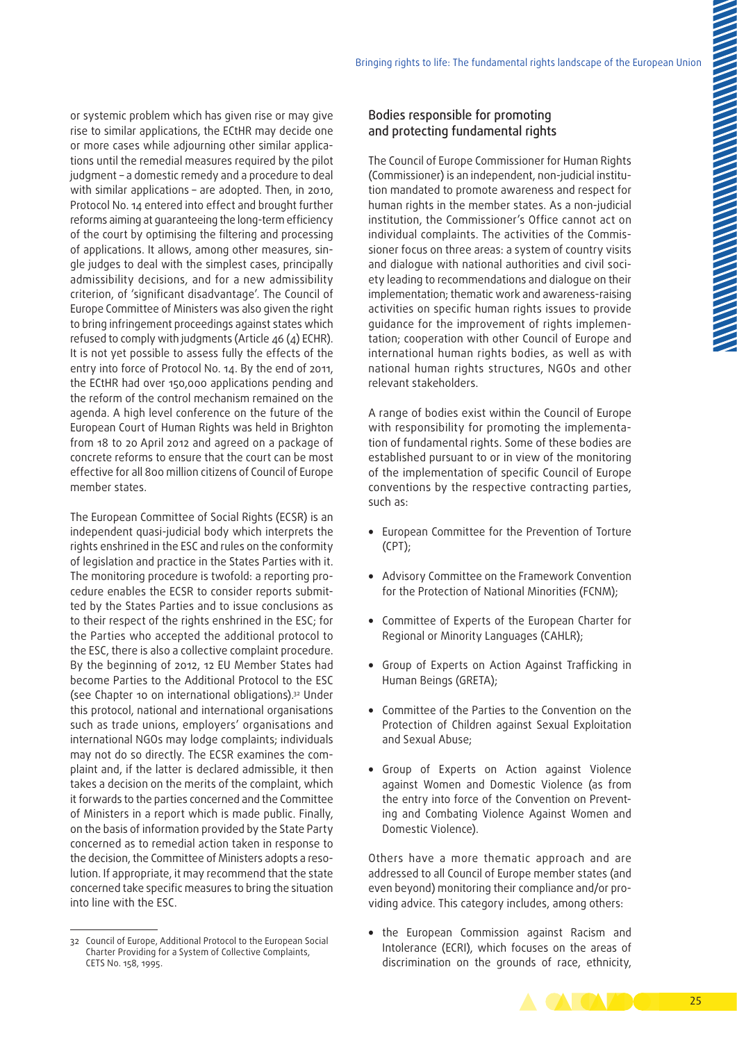or systemic problem which has given rise or may give rise to similar applications, the ECtHR may decide one or more cases while adjourning other similar applications until the remedial measures required by the pilot judgment – a domestic remedy and a procedure to deal with similar applications – are adopted. Then, in 2010, Protocol No. 14 entered into effect and brought further reforms aiming at guaranteeing the long‑term efficiency of the court by optimising the filtering and processing of applications. It allows, among other measures, single judges to deal with the simplest cases, principally admissibility decisions, and for a new admissibility criterion, of 'significant disadvantage'. The Council of Europe Committee of Ministers was also given the right to bring infringement proceedings against states which refused to comply with judgments (Article 46 (4) ECHR). It is not yet possible to assess fully the effects of the entry into force of Protocol No. 14. By the end of 2011, the ECtHR had over 150,000 applications pending and the reform of the control mechanism remained on the agenda. A high level conference on the future of the European Court of Human Rights was held in Brighton from 18 to 20 April 2012 and agreed on a package of concrete reforms to ensure that the court can be most effective for all 800 million citizens of Council of Europe member states.

The European Committee of Social Rights (ECSR) is an independent quasi‑judicial body which interprets the rights enshrined in the ESC and rules on the conformity of legislation and practice in the States Parties with it. The monitoring procedure is twofold: a reporting procedure enables the ECSR to consider reports submitted by the States Parties and to issue conclusions as to their respect of the rights enshrined in the ESC; for the Parties who accepted the additional protocol to the ESC, there is also a collective complaint procedure. By the beginning of 2012, 12 EU Member States had become Parties to the Additional Protocol to the ESC (see Chapter 10 on international obligations).32 Under this protocol, national and international organisations such as trade unions, employers' organisations and international NGOs may lodge complaints; individuals may not do so directly. The ECSR examines the complaint and, if the latter is declared admissible, it then takes a decision on the merits of the complaint, which it forwards to the parties concerned and the Committee of Ministers in a report which is made public. Finally, on the basis of information provided by the State Party concerned as to remedial action taken in response to the decision, the Committee of Ministers adopts a resolution. If appropriate, it may recommend that the state concerned take specific measures to bring the situation into line with the ESC.

#### Bodies responsible for promoting and protecting fundamental rights

The Council of Europe Commissioner for Human Rights (Commissioner) is an independent, non-judicial institution mandated to promote awareness and respect for human rights in the member states. As a non-judicial institution, the Commissioner's Office cannot act on individual complaints. The activities of the Commissioner focus on three areas: a system of country visits and dialogue with national authorities and civil society leading to recommendations and dialogue on their implementation: thematic work and awareness-raising activities on specific human rights issues to provide guidance for the improvement of rights implemen‑ tation; cooperation with other Council of Europe and international human rights bodies, as well as with national human rights structures, NGOs and other relevant stakeholders.

A range of bodies exist within the Council of Europe with responsibility for promoting the implementation of fundamental rights. Some of these bodies are established pursuant to or in view of the monitoring of the implementation of specific Council of Europe conventions by the respective contracting parties, such as:

- European Committee for the Prevention of Torture (CPT);
- Advisory Committee on the Framework Convention for the Protection of National Minorities (FCNM);
- Committee of Experts of the European Charter for Regional or Minority Languages (CAHLR);
- Group of Experts on Action Against Trafficking in Human Beings (GRETA);
- Committee of the Parties to the Convention on the Protection of Children against Sexual Exploitation and Sexual Abuse;
- Group of Experts on Action against Violence against Women and Domestic Violence (as from the entry into force of the Convention on Preventing and Combating Violence Against Women and Domestic Violence).

Others have a more thematic approach and are addressed to all Council of Europe member states (and even beyond) monitoring their compliance and/or providing advice. This category includes, among others:

• the European Commission against Racism and Intolerance (ECRI), which focuses on the areas of discrimination on the grounds of race, ethnicity,



<sup>32</sup> Council of Europe, Additional Protocol to the European Social Charter Providing for a System of Collective Complaints, CETS No. 158, 1995.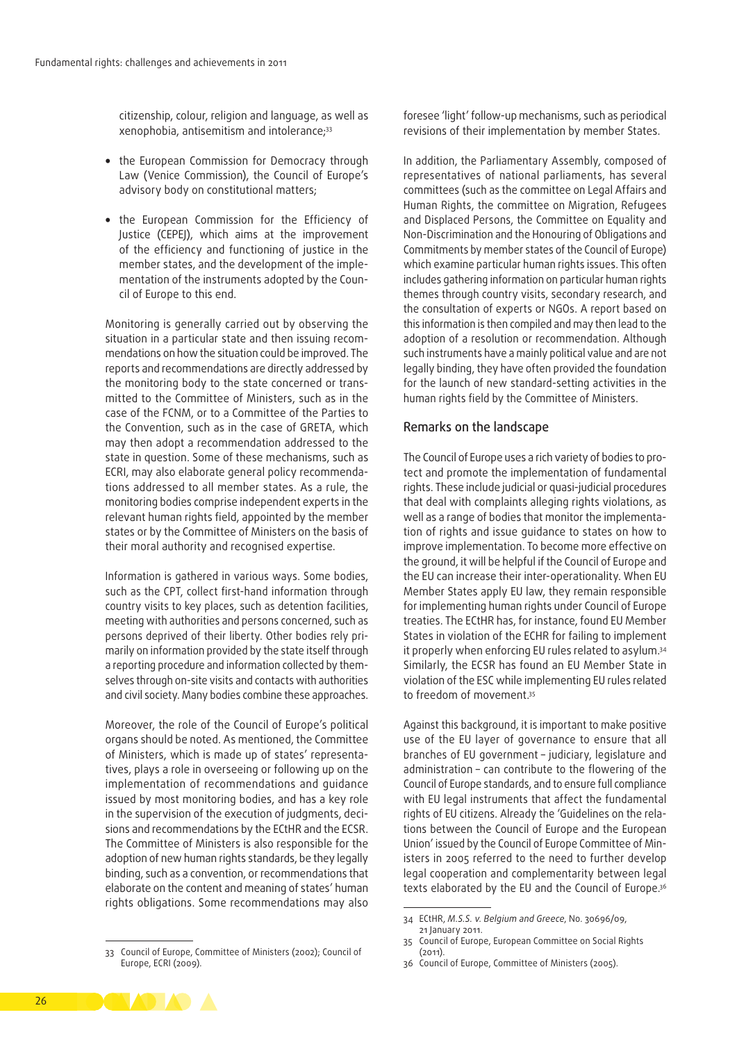citizenship, colour, religion and language, as well as xenophobia, antisemitism and intolerance;33

- the European Commission for Democracy through Law (Venice Commission), the Council of Europe's advisory body on constitutional matters;
- the European Commission for the Efficiency of Justice (CEPEJ), which aims at the improvement of the efficiency and functioning of justice in the member states, and the development of the implementation of the instruments adopted by the Council of Europe to this end.

Monitoring is generally carried out by observing the situation in a particular state and then issuing recommendations on how the situation could be improved. The reports and recommendations are directly addressed by the monitoring body to the state concerned or transmitted to the Committee of Ministers, such as in the case of the FCNM, or to a Committee of the Parties to the Convention, such as in the case of GRETA, which may then adopt a recommendation addressed to the state in question. Some of these mechanisms, such as ECRI, may also elaborate general policy recommendations addressed to all member states. As a rule, the monitoring bodies comprise independent experts in the relevant human rights field, appointed by the member states or by the Committee of Ministers on the basis of their moral authority and recognised expertise.

Information is gathered in various ways. Some bodies, such as the CPT, collect first-hand information through country visits to key places, such as detention facilities, meeting with authorities and persons concerned, such as persons deprived of their liberty. Other bodies rely primarily on information provided by the state itself through a reporting procedure and information collected by themselves through on-site visits and contacts with authorities and civil society. Many bodies combine these approaches.

Moreover, the role of the Council of Europe's political organs should be noted. As mentioned, the Committee of Ministers, which is made up of states' representatives, plays a role in overseeing or following up on the implementation of recommendations and guidance issued by most monitoring bodies, and has a key role in the supervision of the execution of judgments, decisions and recommendations by the ECtHR and the ECSR. The Committee of Ministers is also responsible for the adoption of new human rights standards, be they legally binding, such as a convention, or recommendations that elaborate on the content and meaning of states' human rights obligations. Some recommendations may also

foresee 'light' follow‑up mechanisms, such as periodical revisions of their implementation by member States.

In addition, the Parliamentary Assembly, composed of representatives of national parliaments, has several committees (such as the committee on Legal Affairs and Human Rights, the committee on Migration, Refugees and Displaced Persons, the Committee on Equality and Non‑Discrimination and the Honouring of Obligations and Commitments by member states of the Council of Europe) which examine particular human rights issues. This often includes gathering information on particular human rights themes through country visits, secondary research, and the consultation of experts or NGOs. A report based on this information is then compiled and may then lead to the adoption of a resolution or recommendation. Although such instruments have a mainly political value and are not legally binding, they have often provided the foundation for the launch of new standard‑setting activities in the human rights field by the Committee of Ministers.

#### Remarks on the landscape

The Council of Europe uses a rich variety of bodies to protect and promote the implementation of fundamental rights. These include judicial or quasi‑judicial procedures that deal with complaints alleging rights violations, as well as a range of bodies that monitor the implementation of rights and issue guidance to states on how to improve implementation. To become more effective on the ground, it will be helpful if the Council of Europe and the EU can increase their inter‑operationality. When EU Member States apply EU law, they remain responsible for implementing human rights under Council of Europe treaties. The ECtHR has, for instance, found EU Member States in violation of the ECHR for failing to implement it properly when enforcing EU rules related to asylum.34 Similarly, the ECSR has found an EU Member State in violation of the ESC while implementing EU rules related to freedom of movement.35

Against this background, it is important to make positive use of the EU layer of governance to ensure that all branches of EU government – judiciary, legislature and administration – can contribute to the flowering of the Council of Europe standards, and to ensure full compliance with EU legal instruments that affect the fundamental rights of EU citizens. Already the 'Guidelines on the relations between the Council of Europe and the European Union' issued by the Council of Europe Committee of Min‑ isters in 2005 referred to the need to further develop legal cooperation and complementarity between legal texts elaborated by the EU and the Council of Europe.36

<sup>33</sup> Council of Europe, Committee of Ministers (2002); Council of Europe, ECRI (2009).



<sup>34</sup> ECtHR, *M.S.S. v. Belgium and Greece*, No. 30696/09, 21 January 2011.

<sup>35</sup> Council of Europe, European Committee on Social Rights (2011).

<sup>36</sup> Council of Europe, Committee of Ministers (2005).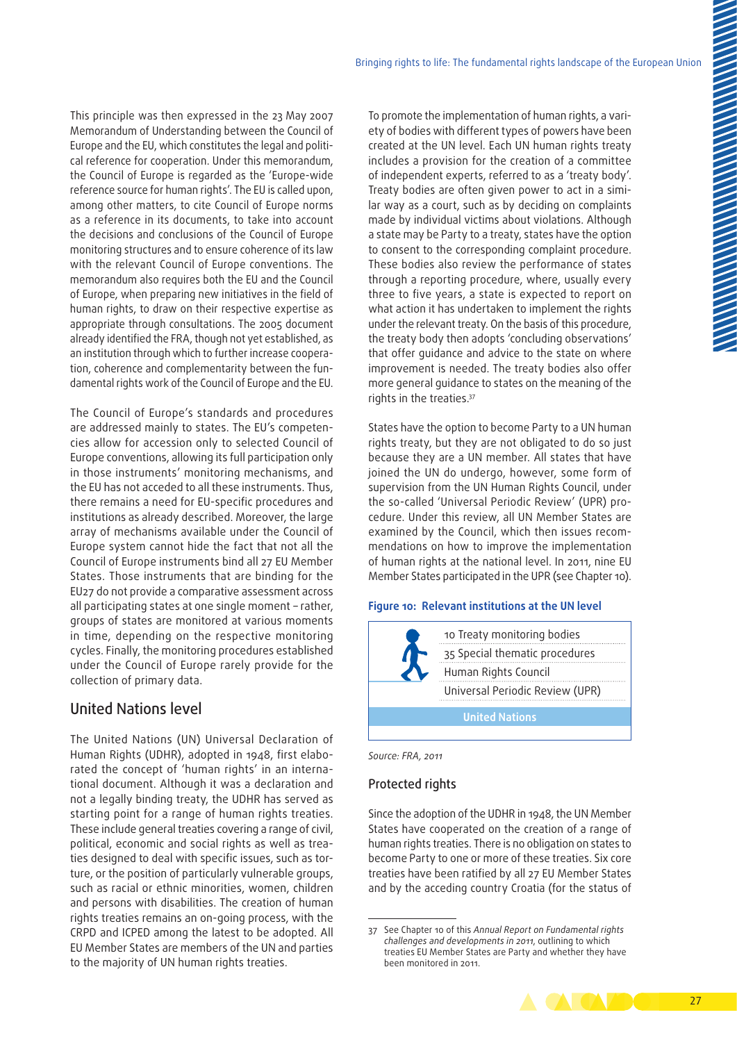This principle was then expressed in the 23 May 2007 Memorandum of Understanding between the Council of Europe and the EU, which constitutes the legal and political reference for cooperation. Under this memorandum, the Council of Europe is regarded as the 'Europe-wide reference source for human rights'. The EU is called upon, among other matters, to cite Council of Europe norms as a reference in its documents, to take into account the decisions and conclusions of the Council of Europe monitoring structures and to ensure coherence of its law with the relevant Council of Europe conventions. The memorandum also requires both the EU and the Council of Europe, when preparing new initiatives in the field of human rights, to draw on their respective expertise as appropriate through consultations. The 2005 document already identified the FRA, though not yet established, as an institution through which to further increase cooperation, coherence and complementarity between the fundamental rights work of the Council of Europe and the EU.

The Council of Europe's standards and procedures are addressed mainly to states. The EU's competencies allow for accession only to selected Council of Europe conventions, allowing its full participation only in those instruments' monitoring mechanisms, and the EU has not acceded to all these instruments. Thus, there remains a need for EU-specific procedures and institutions as already described. Moreover, the large array of mechanisms available under the Council of Europe system cannot hide the fact that not all the Council of Europe instruments bind all 27 EU Member States. Those instruments that are binding for the EU27 do not provide a comparative assessment across all participating states at one single moment – rather, groups of states are monitored at various moments in time, depending on the respective monitoring cycles. Finally, the monitoring procedures established under the Council of Europe rarely provide for the collection of primary data.

## United Nations level

The United Nations (UN) Universal Declaration of Human Rights (UDHR), adopted in 1948, first elaborated the concept of 'human rights' in an international document. Although it was a declaration and not a legally binding treaty, the UDHR has served as starting point for a range of human rights treaties. These include general treaties covering a range of civil, political, economic and social rights as well as treaties designed to deal with specific issues, such as torture, or the position of particularly vulnerable groups, such as racial or ethnic minorities, women, children and persons with disabilities. The creation of human rights treaties remains an on‑going process, with the CRPD and ICPED among the latest to be adopted. All EU Member States are members of the UN and parties to the majority of UN human rights treaties.

To promote the implementation of human rights, a variety of bodies with different types of powers have been created at the UN level. Each UN human rights treaty includes a provision for the creation of a committee of independent experts, referred to as a 'treaty body'. Treaty bodies are often given power to act in a similar way as a court, such as by deciding on complaints made by individual victims about violations. Although a state may be Party to a treaty, states have the option to consent to the corresponding complaint procedure. These bodies also review the performance of states through a reporting procedure, where, usually every three to five years, a state is expected to report on what action it has undertaken to implement the rights under the relevant treaty. On the basis of this procedure, the treaty body then adopts 'concluding observations' that offer guidance and advice to the state on where improvement is needed. The treaty bodies also offer more general guidance to states on the meaning of the rights in the treaties.37

States have the option to become Party to a UN human rights treaty, but they are not obligated to do so just because they are a UN member. All states that have joined the UN do undergo, however, some form of supervision from the UN Human Rights Council, under the so-called 'Universal Periodic Review' (UPR) procedure. Under this review, all UN Member States are examined by the Council, which then issues recommendations on how to improve the implementation of human rights at the national level. In 2011, nine EU Member States participated in the UPR (see Chapter 10).

#### **Figure 10: Relevant institutions at the UN level**



| Source: FRA, 2011 |  |
|-------------------|--|
|                   |  |

#### Protected rights

Since the adoption of the UDHR in 1948, the UN Member States have cooperated on the creation of a range of human rights treaties. There is no obligation on states to become Party to one or more of these treaties. Six core treaties have been ratified by all 27 EU Member States and by the acceding country Croatia (for the status of

<sup>37</sup> See Chapter 10 of this *Annual Report on Fundamental rights challenges and developments in 2011*, outlining to which treaties EU Member States are Party and whether they have been monitored in 2011.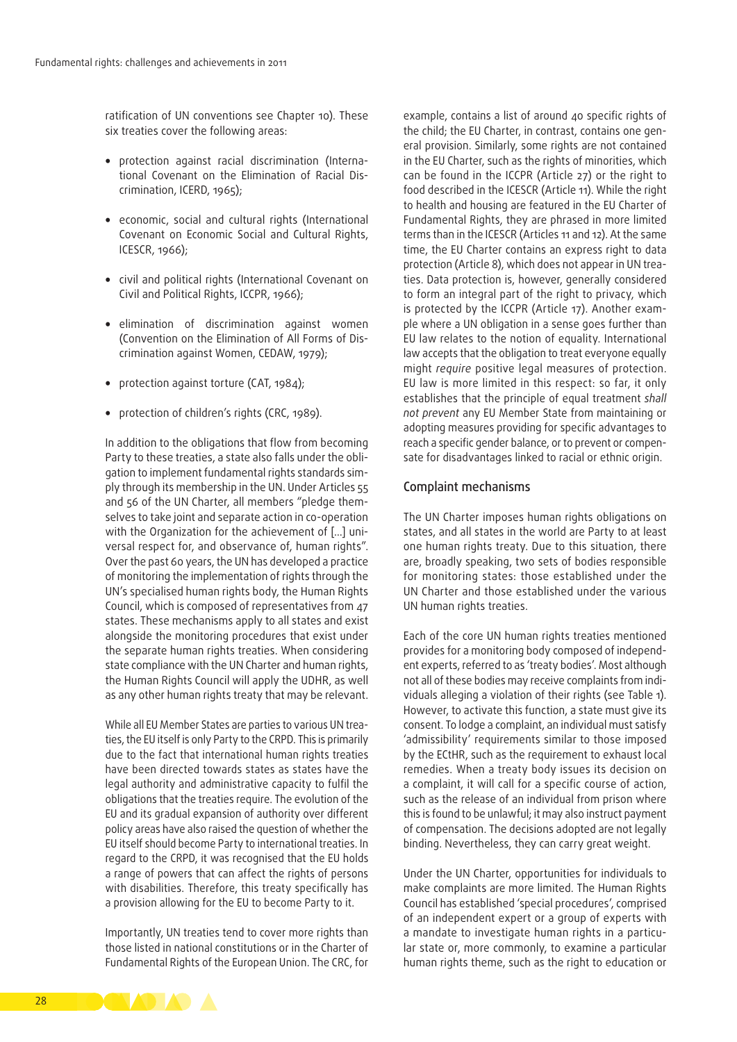ratification of UN conventions see Chapter 10). These six treaties cover the following areas:

- protection against racial discrimination (International Covenant on the Elimination of Racial Discrimination, ICERD, 1965);
- economic, social and cultural rights (International Covenant on Economic Social and Cultural Rights, ICESCR, 1966);
- civil and political rights (International Covenant on Civil and Political Rights, ICCPR, 1966);
- elimination of discrimination against women (Convention on the Elimination of All Forms of Dis‑ crimination against Women, CEDAW, 1979);
- protection against torture (CAT, 1984);
- protection of children's rights (CRC, 1989).

In addition to the obligations that flow from becoming Party to these treaties, a state also falls under the obligation to implement fundamental rights standards simply through its membership in the UN. Under Articles 55 and 56 of the UN Charter, all members "pledge themselves to take joint and separate action in co-operation with the Organization for the achievement of [...] universal respect for, and observance of, human rights". Over the past 60 years, the UN has developed a practice of monitoring the implementation of rights through the UN's specialised human rights body, the Human Rights Council, which is composed of representatives from 47 states. These mechanisms apply to all states and exist alongside the monitoring procedures that exist under the separate human rights treaties. When considering state compliance with the UN Charter and human rights, the Human Rights Council will apply the UDHR, as well as any other human rights treaty that may be relevant.

While all EU Member States are parties to various UN treaties, the EU itself is only Party to the CRPD. This is primarily due to the fact that international human rights treaties have been directed towards states as states have the legal authority and administrative capacity to fulfil the obligations that the treaties require. The evolution of the EU and its gradual expansion of authority over different policy areas have also raised the question of whether the EU itself should become Party to international treaties. In regard to the CRPD, it was recognised that the EU holds a range of powers that can affect the rights of persons with disabilities. Therefore, this treaty specifically has a provision allowing for the EU to become Party to it.

Importantly, UN treaties tend to cover more rights than those listed in national constitutions or in the Charter of Fundamental Rights of the European Union. The CRC, for

example, contains a list of around 40 specific rights of the child; the EU Charter, in contrast, contains one general provision. Similarly, some rights are not contained in the EU Charter, such as the rights of minorities, which can be found in the ICCPR (Article 27) or the right to food described in the ICESCR (Article 11). While the right to health and housing are featured in the EU Charter of Fundamental Rights, they are phrased in more limited terms than in the ICESCR (Articles 11 and 12). At the same time, the EU Charter contains an express right to data protection (Article 8), which does not appear in UN treaties. Data protection is, however, generally considered to form an integral part of the right to privacy, which is protected by the ICCPR (Article 17). Another example where a UN obligation in a sense goes further than EU law relates to the notion of equality. International law accepts that the obligation to treat everyone equally might *require* positive legal measures of protection. EU law is more limited in this respect: so far, it only establishes that the principle of equal treatment *shall not prevent* any EU Member State from maintaining or adopting measures providing for specific advantages to reach a specific gender balance, or to prevent or compensate for disadvantages linked to racial or ethnic origin.

#### Complaint mechanisms

The UN Charter imposes human rights obligations on states, and all states in the world are Party to at least one human rights treaty. Due to this situation, there are, broadly speaking, two sets of bodies responsible for monitoring states: those established under the UN Charter and those established under the various UN human rights treaties.

Each of the core UN human rights treaties mentioned provides for a monitoring body composed of independent experts, referred to as 'treaty bodies'. Most although not all of these bodies may receive complaints from individuals alleging a violation of their rights (see Table 1). However, to activate this function, a state must give its consent. To lodge a complaint, an individual must satisfy 'admissibility' requirements similar to those imposed by the ECtHR, such as the requirement to exhaust local remedies. When a treaty body issues its decision on a complaint, it will call for a specific course of action, such as the release of an individual from prison where this is found to be unlawful; it may also instruct payment of compensation. The decisions adopted are not legally binding. Nevertheless, they can carry great weight.

Under the UN Charter, opportunities for individuals to make complaints are more limited. The Human Rights Council has established 'special procedures', comprised of an independent expert or a group of experts with a mandate to investigate human rights in a particular state or, more commonly, to examine a particular human rights theme, such as the right to education or

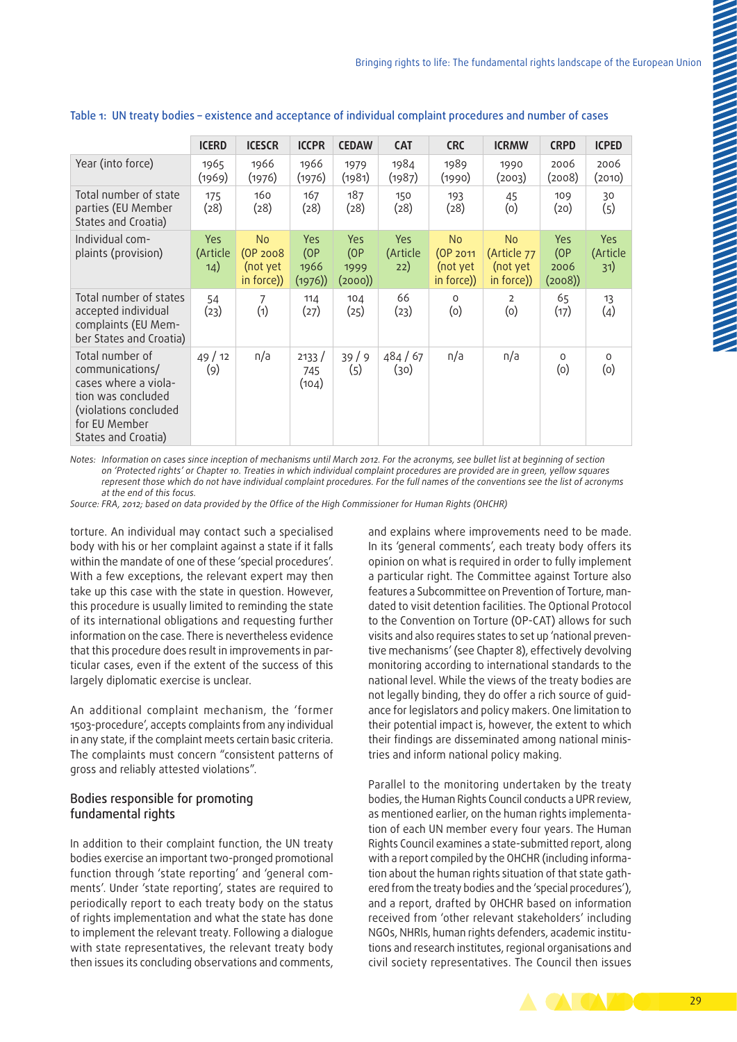|                                                                                                                                                   | <b>ICERD</b>           | <b>ICESCR</b>                                        | <b>ICCPR</b>                  | <b>CEDAW</b>                         | <b>CAT</b>                    | <b>CRC</b>                                      | <b>ICRMW</b>                                       | <b>CRPD</b>                   | <b>ICPED</b>                  |
|---------------------------------------------------------------------------------------------------------------------------------------------------|------------------------|------------------------------------------------------|-------------------------------|--------------------------------------|-------------------------------|-------------------------------------------------|----------------------------------------------------|-------------------------------|-------------------------------|
| Year (into force)                                                                                                                                 | 1965<br>(1969)         | 1966<br>(1976)                                       | 1966<br>(1976)                | 1979<br>(1981)                       | 1984<br>(1987)                | 1989<br>(1990)                                  | 1990<br>(2003)                                     | 2006<br>(2008)                | 2006<br>(2010)                |
| Total number of state<br>parties (EU Member<br>States and Croatia)                                                                                | 175<br>(28)            | 160<br>(28)                                          | 167<br>(28)                   | 187<br>(28)                          | 150<br>(28)                   | 193<br>(28)                                     | 45<br>(0)                                          | 109<br>(20)                   | 30<br>(5)                     |
| Individual com-<br>plaints (provision)                                                                                                            | Yes<br>(Article<br>14) | N <sub>o</sub><br>(OP 2008<br>(not yet<br>in force)) | Yes<br>(OP)<br>1966<br>(1976) | <b>Yes</b><br>(OP)<br>1999<br>(2000) | <b>Yes</b><br>(Article<br>22) | <b>No</b><br>(OP 2011<br>(not yet<br>in force)) | <b>No</b><br>(Article 77<br>(not yet<br>in force)) | Yes<br>(OP)<br>2006<br>(2008) | <b>Yes</b><br>(Article<br>31) |
| Total number of states<br>accepted individual<br>complaints (EU Mem-<br>ber States and Croatia)                                                   | 54<br>(23)             | 7<br>(1)                                             | 114<br>(27)                   | 104<br>(25)                          | 66<br>(23)                    | $\Omega$<br>(0)                                 | $\overline{2}$<br>(0)                              | 65<br>(17)                    | 13<br>(4)                     |
| Total number of<br>communications/<br>cases where a viola-<br>tion was concluded<br>(violations concluded<br>for EU Member<br>States and Croatia) | 49/12<br>(9)           | n/a                                                  | 2133/<br>745<br>(104)         | 39/9<br>(5)                          | 484 / 67<br>(30)              | n/a                                             | n/a                                                | $\Omega$<br>(0)               | $\Omega$<br>(0)               |

#### Table 1: UN treaty bodies – existence and acceptance of individual complaint procedures and number of cases

*Notes: Information on cases since inception of mechanisms until March 2012. For the acronyms, see bullet list at beginning of section on 'Protected rights' or Chapter 10. Treaties in which individual complaint procedures are provided are in green, yellow squares represent those which do not have individual complaint procedures. For the full names of the conventions see the list of acronyms at the end of this focus.*

*Source: FRA, 2012; based on data provided by the Office of the High Commissioner for Human Rights (OHCHR)*

torture. An individual may contact such a specialised body with his or her complaint against a state if it falls within the mandate of one of these 'special procedures'. With a few exceptions, the relevant expert may then take up this case with the state in question. However, this procedure is usually limited to reminding the state of its international obligations and requesting further information on the case. There is nevertheless evidence that this procedure does result in improvements in particular cases, even if the extent of the success of this largely diplomatic exercise is unclear.

An additional complaint mechanism, the 'former 1503-procedure', accepts complaints from any individual in any state, if the complaint meets certain basic criteria. The complaints must concern "consistent patterns of gross and reliably attested violations".

#### Bodies responsible for promoting fundamental rights

In addition to their complaint function, the UN treaty bodies exercise an important two‑pronged promotional function through 'state reporting' and 'general comments'. Under 'state reporting', states are required to periodically report to each treaty body on the status of rights implementation and what the state has done to implement the relevant treaty. Following a dialogue with state representatives, the relevant treaty body then issues its concluding observations and comments,

and explains where improvements need to be made. In its 'general comments', each treaty body offers its opinion on what is required in order to fully implement a particular right. The Committee against Torture also features a Subcommittee on Prevention of Torture, mandated to visit detention facilities. The Optional Protocol to the Convention on Torture (OP‑CAT) allows for such visits and also requires states to set up 'national preventive mechanisms' (see Chapter 8), effectively devolving monitoring according to international standards to the national level. While the views of the treaty bodies are not legally binding, they do offer a rich source of guidance for legislators and policy makers. One limitation to their potential impact is, however, the extent to which their findings are disseminated among national ministries and inform national policy making.

Parallel to the monitoring undertaken by the treaty bodies, the Human Rights Council conducts a UPR review, as mentioned earlier, on the human rights implementation of each UN member every four years. The Human Rights Council examines a state‑submitted report, along with a report compiled by the OHCHR (including information about the human rights situation of that state gathered from the treaty bodies and the 'special procedures'), and a report, drafted by OHCHR based on information received from 'other relevant stakeholders' including NGOs, NHRIs, human rights defenders, academic institutions and research institutes, regional organisations and civil society representatives. The Council then issues

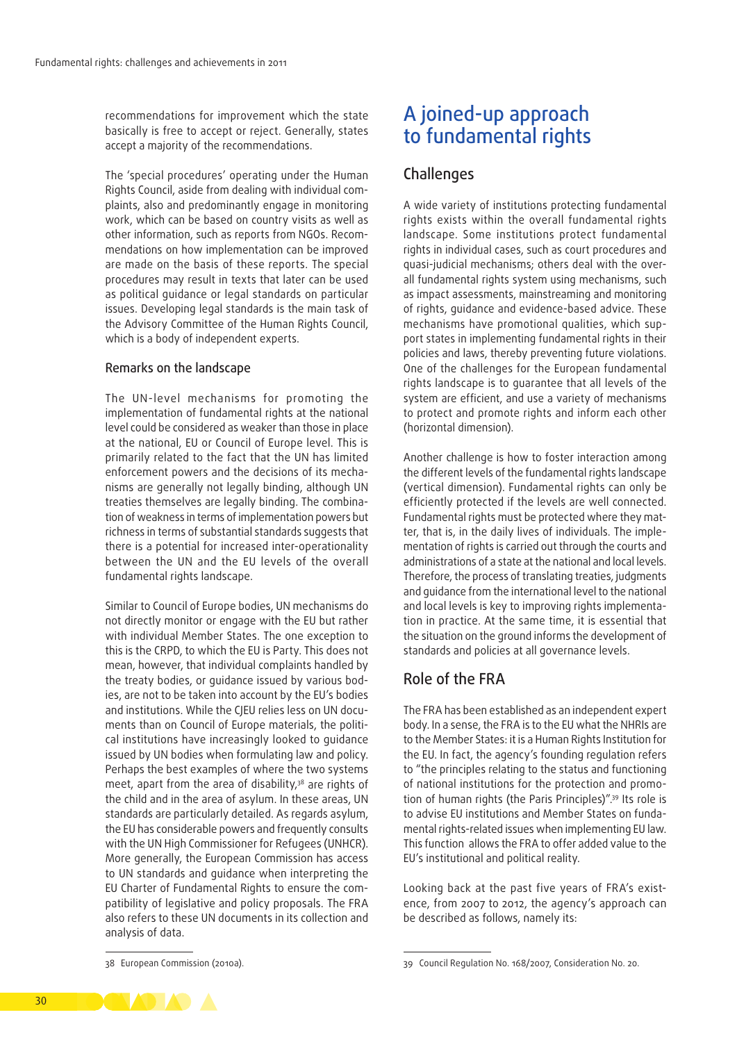recommendations for improvement which the state basically is free to accept or reject. Generally, states accept a majority of the recommendations.

The 'special procedures' operating under the Human Rights Council, aside from dealing with individual complaints, also and predominantly engage in monitoring work, which can be based on country visits as well as other information, such as reports from NGOs. Recommendations on how implementation can be improved are made on the basis of these reports. The special procedures may result in texts that later can be used as political guidance or legal standards on particular issues. Developing legal standards is the main task of the Advisory Committee of the Human Rights Council, which is a body of independent experts.

#### Remarks on the landscape

The UN‑level mechanisms for promoting the implementation of fundamental rights at the national level could be considered as weaker than those in place at the national, EU or Council of Europe level. This is primarily related to the fact that the UN has limited enforcement powers and the decisions of its mechanisms are generally not legally binding, although UN treaties themselves are legally binding. The combination of weakness in terms of implementation powers but richness in terms of substantial standards suggests that there is a potential for increased inter‑operationality between the UN and the EU levels of the overall fundamental rights landscape.

Similar to Council of Europe bodies, UN mechanisms do not directly monitor or engage with the EU but rather with individual Member States. The one exception to this is the CRPD, to which the EU is Party. This does not mean, however, that individual complaints handled by the treaty bodies, or quidance issued by various bodies, are not to be taken into account by the EU's bodies and institutions. While the CJEU relies less on UN documents than on Council of Europe materials, the political institutions have increasingly looked to guidance issued by UN bodies when formulating law and policy. Perhaps the best examples of where the two systems meet, apart from the area of disability,<sup>38</sup> are rights of the child and in the area of asylum. In these areas, UN standards are particularly detailed. As regards asylum, the EU has considerable powers and frequently consults with the UN High Commissioner for Refugees (UNHCR). More generally, the European Commission has access to UN standards and guidance when interpreting the EU Charter of Fundamental Rights to ensure the compatibility of legislative and policy proposals. The FRA also refers to these UN documents in its collection and analysis of data.

# A joined‑up approach to fundamental rights

## Challenges

A wide variety of institutions protecting fundamental rights exists within the overall fundamental rights landscape. Some institutions protect fundamental rights in individual cases, such as court procedures and quasi-judicial mechanisms; others deal with the overall fundamental rights system using mechanisms, such as impact assessments, mainstreaming and monitoring of rights, guidance and evidence‑based advice. These mechanisms have promotional qualities, which support states in implementing fundamental rights in their policies and laws, thereby preventing future violations. One of the challenges for the European fundamental rights landscape is to guarantee that all levels of the system are efficient, and use a variety of mechanisms to protect and promote rights and inform each other (horizontal dimension).

Another challenge is how to foster interaction among the different levels of the fundamental rights landscape (vertical dimension). Fundamental rights can only be efficiently protected if the levels are well connected. Fundamental rights must be protected where they matter, that is, in the daily lives of individuals. The implementation of rights is carried out through the courts and administrations of a state at the national and local levels. Therefore, the process of translating treaties, judgments and guidance from the international level to the national and local levels is key to improving rights implementation in practice. At the same time, it is essential that the situation on the ground informs the development of standards and policies at all governance levels.

# Role of the FRA

The FRA has been established as an independent expert body. In a sense, the FRA is to the EU what the NHRIs are to the Member States: it is a Human Rights Institution for the EU. In fact, the agency's founding regulation refers to "the principles relating to the status and functioning of national institutions for the protection and promotion of human rights (the Paris Principles)".39 Its role is to advise EU institutions and Member States on fundamental rights‑related issues when implementing EU law. This function allows the FRA to offer added value to the EU's institutional and political reality.

Looking back at the past five years of FRA's existence, from 2007 to 2012, the agency's approach can be described as follows, namely its:

<sup>38</sup> European Commission (2010a).

<sup>39</sup> Council Regulation No. 168/2007, Consideration No. 20.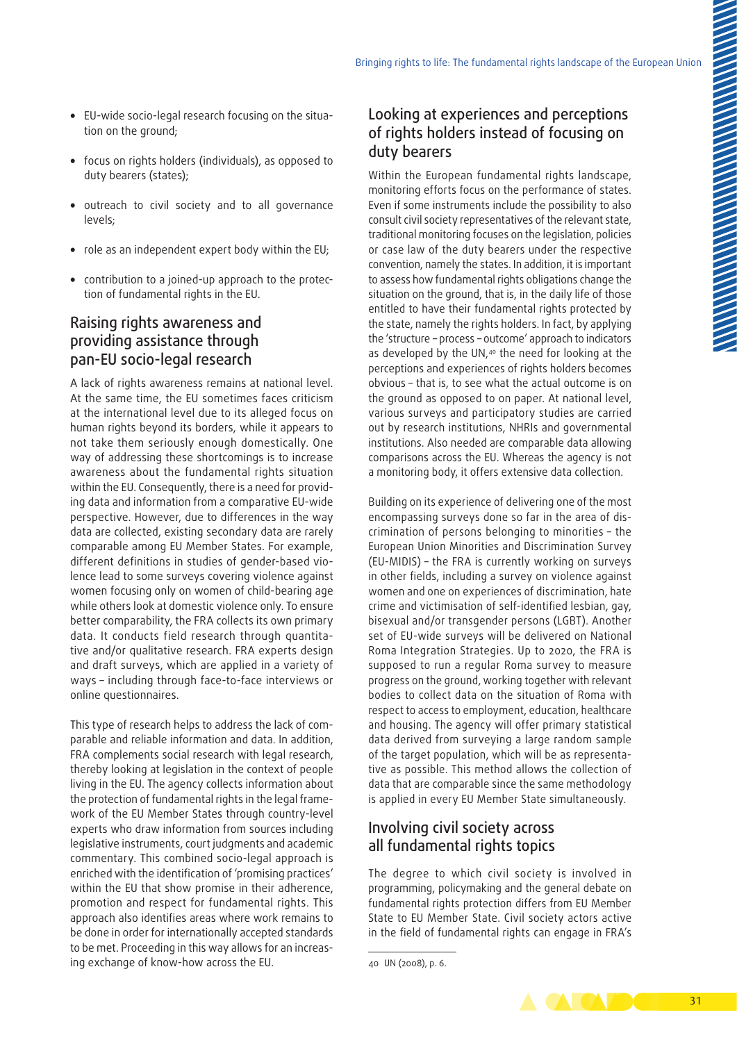- EU-wide socio-legal research focusing on the situation on the ground;
- focus on rights holders (individuals), as opposed to duty bearers (states);
- outreach to civil society and to all governance levels;
- role as an independent expert body within the EU;
- contribution to a joined-up approach to the protection of fundamental rights in the EU.

# Raising rights awareness and providing assistance through pan‑EU socio‑legal research

A lack of rights awareness remains at national level. At the same time, the EU sometimes faces criticism at the international level due to its alleged focus on human rights beyond its borders, while it appears to not take them seriously enough domestically. One way of addressing these shortcomings is to increase awareness about the fundamental rights situation within the EU. Consequently, there is a need for providing data and information from a comparative EU‑wide perspective. However, due to differences in the way data are collected, existing secondary data are rarely comparable among EU Member States. For example, different definitions in studies of gender-based violence lead to some surveys covering violence against women focusing only on women of child-bearing age while others look at domestic violence only. To ensure better comparability, the FRA collects its own primary data. It conducts field research through quantitative and/or qualitative research. FRA experts design and draft surveys, which are applied in a variety of ways – including through face-to-face interviews or online questionnaires.

This type of research helps to address the lack of comparable and reliable information and data. In addition, FRA complements social research with legal research, thereby looking at legislation in the context of people living in the EU. The agency collects information about the protection of fundamental rights in the legal framework of the EU Member States through country-level experts who draw information from sources including legislative instruments, court judgments and academic commentary. This combined socio-legal approach is enriched with the identification of 'promising practices' within the EU that show promise in their adherence, promotion and respect for fundamental rights. This approach also identifies areas where work remains to be done in order for internationally accepted standards to be met. Proceeding in this way allows for an increasing exchange of know‑how across the EU.

# Looking at experiences and perceptions of rights holders instead of focusing on duty bearers

Within the European fundamental rights landscape, monitoring efforts focus on the performance of states. Even if some instruments include the possibility to also consult civil society representatives of the relevant state, traditional monitoring focuses on the legislation, policies or case law of the duty bearers under the respective convention, namely the states. In addition, it is important to assess how fundamental rights obligations change the situation on the ground, that is, in the daily life of those entitled to have their fundamental rights protected by the state, namely the rights holders. In fact, by applying the 'structure – process – outcome' approach to indicators as developed by the UN,<sup>40</sup> the need for looking at the perceptions and experiences of rights holders becomes obvious – that is, to see what the actual outcome is on the ground as opposed to on paper. At national level, various surveys and participatory studies are carried out by research institutions, NHRIs and governmental institutions. Also needed are comparable data allowing comparisons across the EU. Whereas the agency is not a monitoring body, it offers extensive data collection.

Building on its experience of delivering one of the most encompassing surveys done so far in the area of discrimination of persons belonging to minorities – the European Union Minorities and Discrimination Survey (EU‑MIDIS) – the FRA is currently working on surveys in other fields, including a survey on violence against women and one on experiences of discrimination, hate crime and victimisation of self‑identified lesbian, gay, bisexual and/or transgender persons (LGBT). Another set of EU-wide surveys will be delivered on National Roma Integration Strategies. Up to 2020, the FRA is supposed to run a regular Roma survey to measure progress on the ground, working together with relevant bodies to collect data on the situation of Roma with respect to access to employment, education, healthcare and housing. The agency will offer primary statistical data derived from surveying a large random sample of the target population, which will be as representative as possible. This method allows the collection of data that are comparable since the same methodology is applied in every EU Member State simultaneously.

# Involving civil society across all fundamental rights topics

The degree to which civil society is involved in programming, policymaking and the general debate on fundamental rights protection differs from EU Member State to EU Member State. Civil society actors active in the field of fundamental rights can engage in FRA's



<sup>40</sup> UN (2008), p. 6.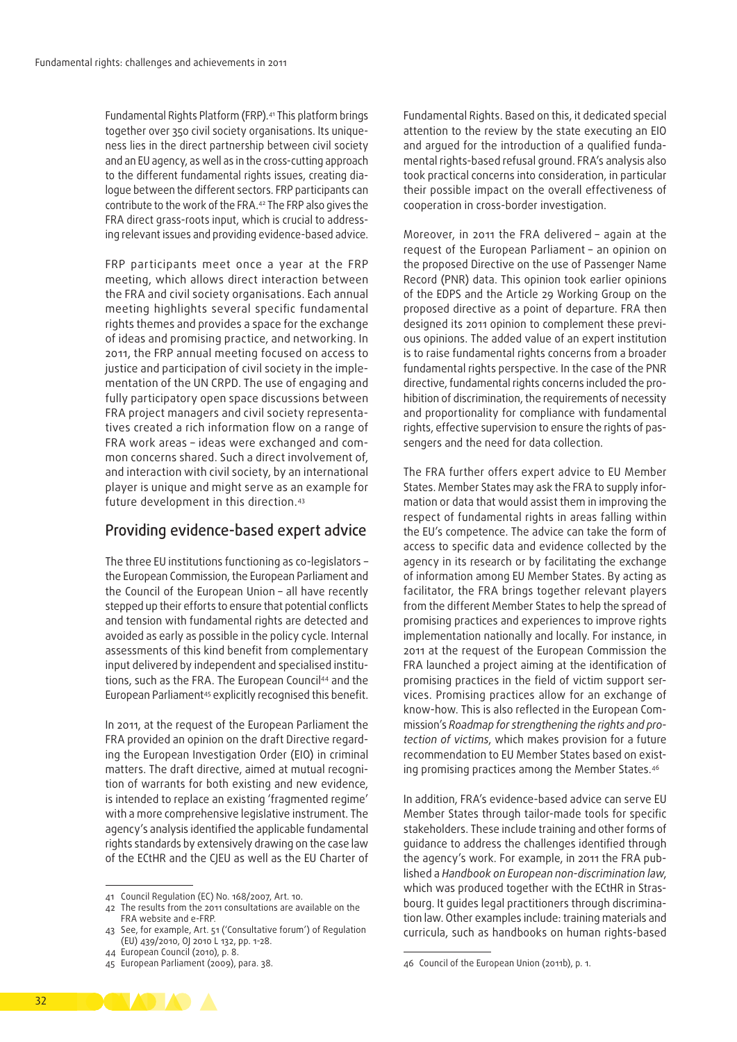Fundamental Rights Platform (FRP).<sup>41</sup> This platform brings together over 350 civil society organisations. Its uniqueness lies in the direct partnership between civil society and an EU agency, as well as in the cross‑cutting approach to the different fundamental rights issues, creating dialogue between the different sectors. FRP participants can contribute to the work of the FRA.42 The FRP also gives the FRA direct grass-roots input, which is crucial to addressing relevant issues and providing evidence‑based advice.

FRP participants meet once a year at the FRP meeting, which allows direct interaction between the FRA and civil society organisations. Each annual meeting highlights several specific fundamental rights themes and provides a space for the exchange of ideas and promising practice, and networking. In 2011, the FRP annual meeting focused on access to justice and participation of civil society in the implementation of the UN CRPD. The use of engaging and fully participatory open space discussions between FRA project managers and civil society representatives created a rich information flow on a range of FRA work areas – ideas were exchanged and common concerns shared. Such a direct involvement of, and interaction with civil society, by an international player is unique and might serve as an example for future development in this direction.43

## Providing evidence‑based expert advice

The three EU institutions functioning as co‑legislators – the European Commission, the European Parliament and the Council of the European Union – all have recently stepped up their efforts to ensure that potential conflicts and tension with fundamental rights are detected and avoided as early as possible in the policy cycle. Internal assessments of this kind benefit from complementary input delivered by independent and specialised institutions, such as the FRA. The European Council44 and the European Parliament<sup>45</sup> explicitly recognised this benefit.

In 2011, at the request of the European Parliament the FRA provided an opinion on the draft Directive regarding the European Investigation Order (EIO) in criminal matters. The [draft directive](http://eur-lex.europa.eu/LexUriServ/LexUriServ.do?uri=CELEX:52010IG0624(01):EN:NOT), aimed at mutual recognition of warrants for both existing and new evidence, is intended to replace an existing 'fragmented regime' with a more comprehensive legislative instrument. The agency's analysis identified the applicable fundamental rights standards by extensively drawing on the case law of the ECtHR and the CJEU as well as the EU Charter of Fundamental Rights. Based on this, it dedicated special attention to the review by the state executing an EIO and argued for the introduction of a qualified fundamental rights‑based refusal ground. FRA's analysis also took practical concerns into consideration, in particular their possible impact on the overall effectiveness of cooperation in cross‑border investigation.

Moreover, in 2011 the FRA delivered – again at the request of the European Parliament – an opinion on the proposed Directive on the use of Passenger Name Record (PNR) data. This opinion took earlier opinions of the EDPS and the Article 29 Working Group on the proposed directive as a point of departure. FRA then designed its 2011 opinion to complement these previous opinions. The added value of an expert institution is to raise fundamental rights concerns from a broader fundamental rights perspective. In the case of the PNR directive, fundamental rights concerns included the prohibition of discrimination, the requirements of necessity and proportionality for compliance with fundamental rights, effective supervision to ensure the rights of passengers and the need for data collection.

The FRA further offers expert advice to EU Member States. Member States may ask the FRA to supply information or data that would assist them in improving the respect of fundamental rights in areas falling within the EU's competence. The advice can take the form of access to specific data and evidence collected by the agency in its research or by facilitating the exchange of information among EU Member States. By acting as facilitator, the FRA brings together relevant players from the different Member States to help the spread of promising practices and experiences to improve rights implementation nationally and locally. For instance, in 2011 at the request of the European Commission the FRA launched a project aiming at the identification of promising practices in the field of victim support services. Promising practices allow for an exchange of know-how. This is also reflected in the European Commission's *Roadmap for strengthening the rights and pro‑ tection of victims*, which makes provision for a future recommendation to EU Member States based on existing promising practices among the Member States.46

In addition, FRA's evidence‑based advice can serve EU Member States through tailor‑made tools for specific stakeholders. These include training and other forms of guidance to address the challenges identified through the agency's work. For example, in 2011 the FRA published a *Handbook on European non‑discrimination law*, which was produced together with the ECtHR in Strasbourg. It quides legal practitioners through discrimination law. Other examples include: training materials and curricula, such as handbooks on human rights‑based



<sup>41</sup> Council Regulation (EC) No. 168/2007, Art. 10.

<sup>42</sup> The results from the 2011 consultations are available on the FRA website and e‑FRP.

<sup>43</sup> See, for example, Art. 51 ('Consultative forum') of Regulation (EU) 439/2010, OJ 2010 L 132, pp. 1-28.

<sup>44</sup> European Council (2010), p. 8.

<sup>45</sup> European Parliament (2009), para. 38.

<sup>46</sup> Council of the European Union (2011b), p. 1.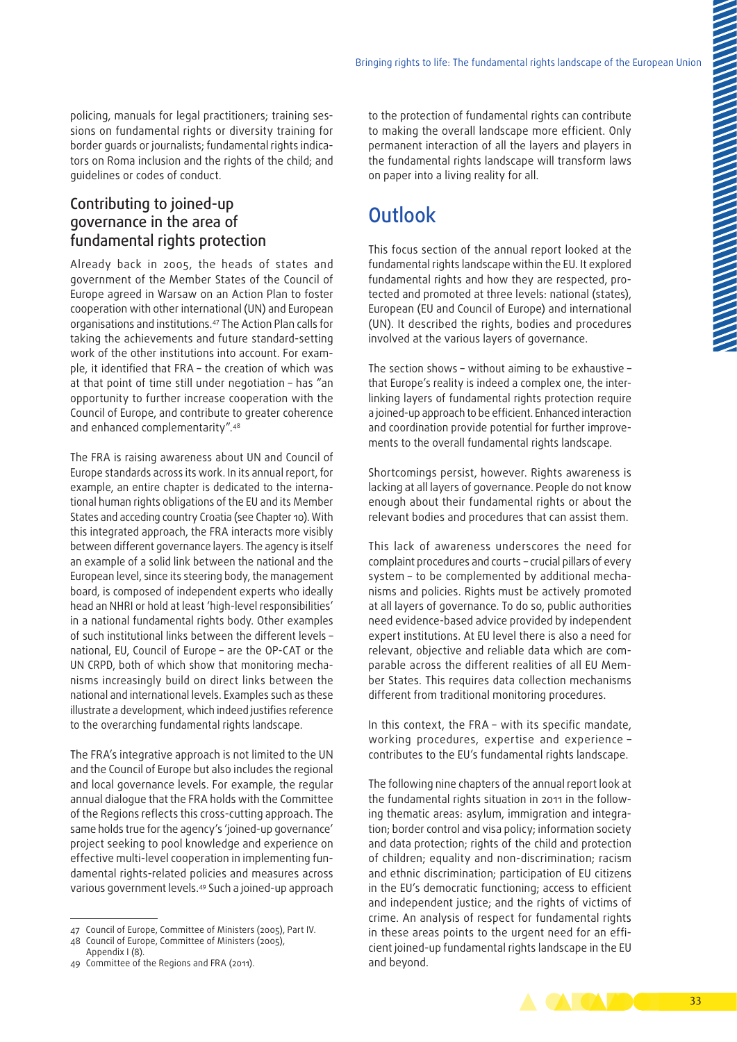policing, manuals for legal practitioners; training sessions on fundamental rights or diversity training for border guards or journalists; fundamental rights indicators on Roma inclusion and the rights of the child; and guidelines or codes of conduct.

# Contributing to joined‑up governance in the area of fundamental rights protection

Already back in 2005, the heads of states and government of the Member States of the Council of Europe agreed in Warsaw on an Action Plan to foster cooperation with other international (UN) and European organisations and institutions.47 The Action Plan calls for taking the achievements and future standard‑setting work of the other institutions into account. For example, it identified that FRA – the creation of which was at that point of time still under negotiation – has "an opportunity to further increase cooperation with the Council of Europe, and contribute to greater coherence and enhanced complementarity".48

The FRA is raising awareness about UN and Council of Europe standards across its work. In its annual report, for example, an entire chapter is dedicated to the international human rights obligations of the EU and its Member States and acceding country Croatia (see Chapter 10). With this integrated approach, the FRA interacts more visibly between different governance layers. The agency is itself an example of a solid link between the national and the European level, since its steering body, the management board, is composed of independent experts who ideally head an NHRI or hold at least 'high-level responsibilities' in a national fundamental rights body. Other examples of such institutional links between the different levels – national, EU, Council of Europe – are the OP‑CAT or the UN CRPD, both of which show that monitoring mechanisms increasingly build on direct links between the national and international levels. Examples such as these illustrate a development, which indeed justifies reference to the overarching fundamental rights landscape.

The FRA's integrative approach is not limited to the UN and the Council of Europe but also includes the regional and local governance levels. For example, the regular annual dialogue that the FRA holds with the Committee of the Regions reflects this cross‑cutting approach. The same holds true for the agency's 'joined-up governance' project seeking to pool knowledge and experience on effective multi-level cooperation in implementing fundamental rights‑related policies and measures across various government levels.49 Such a joined‑up approach

to the protection of fundamental rights can contribute to making the overall landscape more efficient. Only permanent interaction of all the layers and players in the fundamental rights landscape will transform laws on paper into a living reality for all.

# **Outlook**

This focus section of the annual report looked at the fundamental rights landscape within the EU. It explored fundamental rights and how they are respected, protected and promoted at three levels: national (states), European (EU and Council of Europe) and international (UN). It described the rights, bodies and procedures involved at the various layers of governance.

The section shows – without aiming to be exhaustive – that Europe's reality is indeed a complex one, the interlinking layers of fundamental rights protection require a joined-up approach to be efficient. Enhanced interaction and coordination provide potential for further improvements to the overall fundamental rights landscape.

Shortcomings persist, however. Rights awareness is lacking at all layers of governance. People do not know enough about their fundamental rights or about the relevant bodies and procedures that can assist them.

This lack of awareness underscores the need for complaint procedures and courts – crucial pillars of every system - to be complemented by additional mechanisms and policies. Rights must be actively promoted at all layers of governance. To do so, public authorities need evidence‑based advice provided by independent expert institutions. At EU level there is also a need for relevant, objective and reliable data which are comparable across the different realities of all EU Member States. This requires data collection mechanisms different from traditional monitoring procedures.

In this context, the FRA – with its specific mandate, working procedures, expertise and experience – contributes to the EU's fundamental rights landscape.

The following nine chapters of the annual report look at the fundamental rights situation in 2011 in the following thematic areas: asylum, immigration and integration; border control and visa policy; information society and data protection; rights of the child and protection of children; equality and non‑discrimination; racism and ethnic discrimination; participation of EU citizens in the EU's democratic functioning; access to efficient and independent justice; and the rights of victims of crime. An analysis of respect for fundamental rights in these areas points to the urgent need for an efficient joined‑up fundamental rights landscape in the EU and beyond.



<sup>47</sup> Council of Europe, Committee of Ministers (2005), Part IV.

<sup>48</sup> Council of Europe, Committee of Ministers (2005), Appendix I (8).

<sup>49</sup> Committee of the Regions and FRA (2011).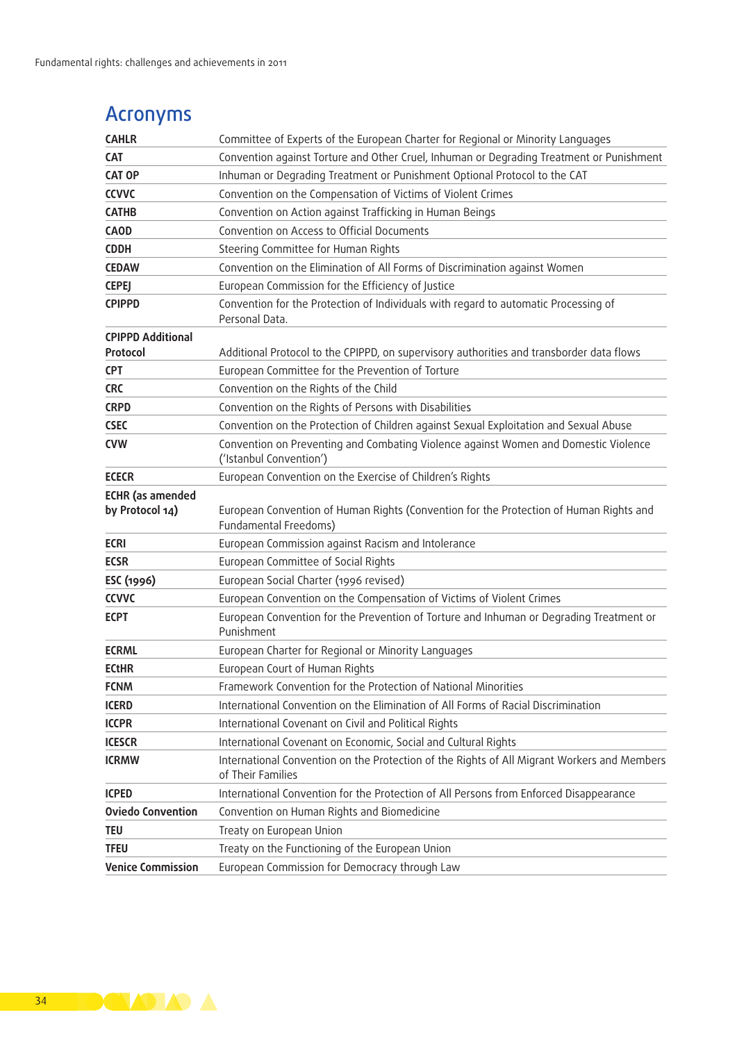# Acronyms

| <b>CAHLR</b>                               | Committee of Experts of the European Charter for Regional or Minority Languages                                  |
|--------------------------------------------|------------------------------------------------------------------------------------------------------------------|
| CAT                                        | Convention against Torture and Other Cruel, Inhuman or Degrading Treatment or Punishment                         |
| <b>CAT OP</b>                              | Inhuman or Degrading Treatment or Punishment Optional Protocol to the CAT                                        |
| <b>CCVVC</b>                               | Convention on the Compensation of Victims of Violent Crimes                                                      |
| <b>CATHB</b>                               | Convention on Action against Trafficking in Human Beings                                                         |
| <b>CAOD</b>                                | Convention on Access to Official Documents                                                                       |
| <b>CDDH</b>                                | Steering Committee for Human Rights                                                                              |
| <b>CEDAW</b>                               | Convention on the Elimination of All Forms of Discrimination against Women                                       |
| <b>CEPEJ</b>                               | European Commission for the Efficiency of Justice                                                                |
| <b>CPIPPD</b>                              | Convention for the Protection of Individuals with regard to automatic Processing of<br>Personal Data.            |
| <b>CPIPPD Additional</b><br>Protocol       | Additional Protocol to the CPIPPD, on supervisory authorities and transborder data flows                         |
| <b>CPT</b>                                 | European Committee for the Prevention of Torture                                                                 |
| <b>CRC</b>                                 | Convention on the Rights of the Child                                                                            |
| <b>CRPD</b>                                | Convention on the Rights of Persons with Disabilities                                                            |
| <b>CSEC</b>                                | Convention on the Protection of Children against Sexual Exploitation and Sexual Abuse                            |
| <b>CVW</b>                                 | Convention on Preventing and Combating Violence against Women and Domestic Violence<br>('Istanbul Convention')   |
| <b>ECECR</b>                               | European Convention on the Exercise of Children's Rights                                                         |
| <b>ECHR</b> (as amended<br>by Protocol 14) | European Convention of Human Rights (Convention for the Protection of Human Rights and<br>Fundamental Freedoms)  |
| <b>ECRI</b>                                | European Commission against Racism and Intolerance                                                               |
| <b>ECSR</b>                                | European Committee of Social Rights                                                                              |
| ESC (1996)                                 | European Social Charter (1996 revised)                                                                           |
| <b>CCVVC</b>                               | European Convention on the Compensation of Victims of Violent Crimes                                             |
| <b>ECPT</b>                                | European Convention for the Prevention of Torture and Inhuman or Degrading Treatment or<br>Punishment            |
| <b>ECRML</b>                               | European Charter for Regional or Minority Languages                                                              |
| <b>ECtHR</b>                               | European Court of Human Rights                                                                                   |
| <b>FCNM</b>                                | Framework Convention for the Protection of National Minorities                                                   |
| <b>ICERD</b>                               | International Convention on the Elimination of All Forms of Racial Discrimination                                |
| <b>ICCPR</b>                               | International Covenant on Civil and Political Rights                                                             |
| <b>ICESCR</b>                              | International Covenant on Economic, Social and Cultural Rights                                                   |
| <b>ICRMW</b>                               | International Convention on the Protection of the Rights of All Migrant Workers and Members<br>of Their Families |
| <b>ICPED</b>                               | International Convention for the Protection of All Persons from Enforced Disappearance                           |
| <b>Oviedo Convention</b>                   | Convention on Human Rights and Biomedicine                                                                       |
| <b>TEU</b>                                 | Treaty on European Union                                                                                         |
| <b>TFEU</b>                                | Treaty on the Functioning of the European Union                                                                  |
| <b>Venice Commission</b>                   | European Commission for Democracy through Law                                                                    |

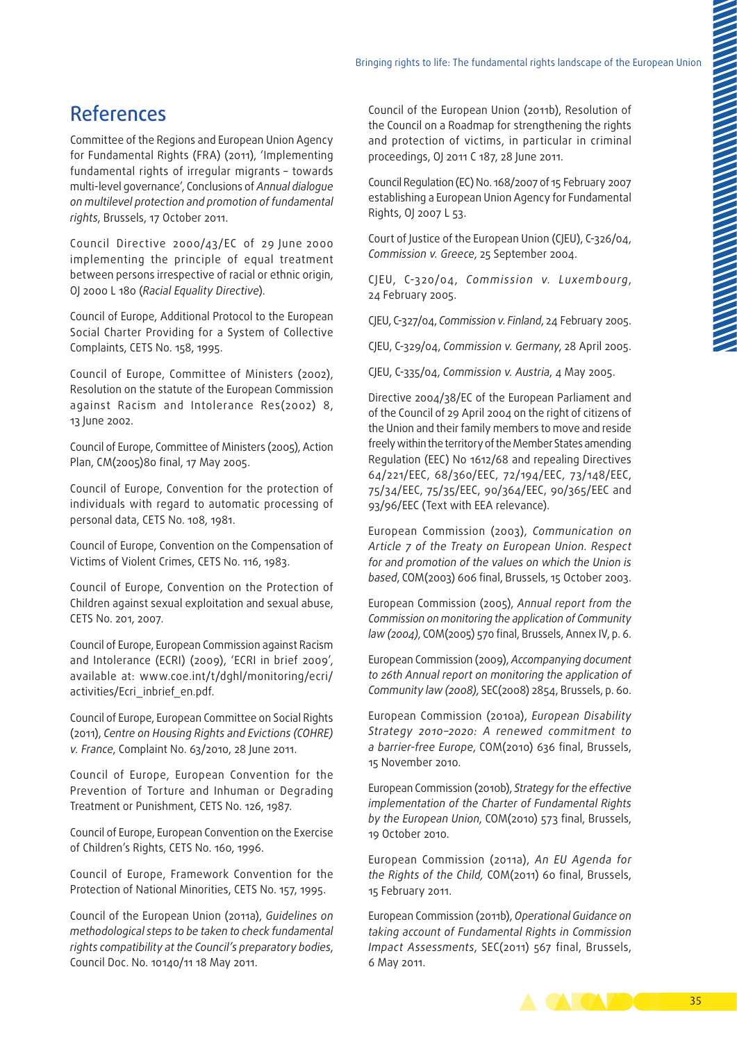# References

Committee of the Regions and European Union Agency for Fundamental Rights (FRA) (2011), 'Implementing fundamental rights of irregular migrants – towards multi‑level governance', Conclusions of *Annual dialogue on multilevel protection and promotion of fundamental rights*, Brussels, 17 October 2011.

Council Directive 2000/43/EC of 29 June 2000 implementing the principle of equal treatment between persons irrespective of racial or ethnic origin, OJ 2000 L 180 (*Racial Equality Directive*).

Council of Europe, Additional Protocol to the European Social Charter Providing for a System of Collective Complaints, CETS No. 158, 1995.

Council of Europe, Committee of Ministers (2002), Resolution on the statute of the European Commission against Racism and Intolerance Res(2002) 8, 13 June 2002.

Council of Europe, Committee of Ministers (2005), Action Plan, CM(2005)80 final, 17 May 2005.

Council of Europe, Convention for the protection of individuals with regard to automatic processing of personal data, CETS No. 108, 1981.

Council of Europe, Convention on the Compensation of Victims of Violent Crimes, CETS No. 116, 1983.

Council of Europe, Convention on the Protection of Children against sexual exploitation and sexual abuse, CETS No. 201, 2007.

Council of Europe, European Commission against Racism and Intolerance (ECRI) (2009), 'ECRI in brief 2009', available at: [www.coe.int/t/dghl/monitoring/ecri/](http://www.coe.int/t/dghl/monitoring/ecri/activities/Ecri_inbrief_en.pdf) [activities/Ecri\\_inbrief\\_en.pdf.](http://www.coe.int/t/dghl/monitoring/ecri/activities/Ecri_inbrief_en.pdf)

Council of Europe, European Committee on Social Rights (2011), *Centre on Housing Rights and Evictions (COHRE) v. France*, Complaint No. 63/2010, 28 June 2011.

Council of Europe, European Convention for the Prevention of Torture and Inhuman or Degrading Treatment or Punishment, CETS No. 126, 1987.

Council of Europe, European Convention on the Exercise of Children's Rights, CETS No. 160, 1996.

Council of Europe, Framework Convention for the Protection of National Minorities, CETS No. 157, 1995.

Council of the European Union (2011a), *Guidelines on methodological steps to be taken to check fundamental rights compatibility at the Council's preparatory bodies*, Council Doc. No. 10140/11 18 May 2011.

Council of the European Union (2011b), Resolution of the Council on a Roadmap for strengthening the rights and protection of victims, in particular in criminal proceedings, OJ 2011 C 187, 28 June 2011.

Council Regulation (EC) No. 168/2007 of 15 February 2007 establishing a European Union Agency for Fundamental Rights, OJ 2007 L 53.

Court of Justice of the European Union (CJEU), C-326/04, *Commission v. Greece*, 25 September 2004.

CJEU, C-320/04, *Commission v. Luxembourg*, 24 February 2005.

CJEU, C-327/04, *Commission v. Finland*, 24 February 2005.

CJEU, C-329/04, *Commission v. Germany*, 28 April 2005.

CJEU, C-335/04, *Commission v. Austria*, 4 May 2005.

Directive 2004/38/EC of the European Parliament and of the Council of 29 April 2004 on the right of citizens of the Union and their family members to move and reside freely within the territory of the Member States amending Regulation (EEC) No 1612/68 and repealing Directives 64/221/EEC, 68/360/EEC, 72/194/EEC, 73/148/EEC, 75/34/EEC, 75/35/EEC, 90/364/EEC, 90/365/EEC and 93/96/EEC (Text with EEA relevance).

European Commission (2003), *Communication on Article 7 of the Treaty on European Union. Respect for and promotion of the values on which the Union is based*, COM(2003) 606 final, Brussels, 15 October 2003.

European Commission (2005), *Annual report from the Commission on monitoring the application of Community law (2004)*, COM(2005) 570 final, Brussels, Annex IV, p. 6.

European Commission (2009), *Accompanying document to 26th Annual report on monitoring the application of Community law (2008)*, SEC(2008) 2854, Brussels, p. 60.

European Commission (2010a), *European Disability Strategy 2010–2020: A renewed commitment to a barrier‑free Europe*, COM(2010) 636 final, Brussels, 15 November 2010.

European Commission (2010b), *Strategy for the effective implementation of the Charter of Fundamental Rights by the European Union*, COM(2010) 573 final, Brussels, 19 October 2010.

European Commission (2011a), *An EU Agenda for the Rights of the Child,* COM(2011) 60 final, Brussels, 15 February 2011.

European Commission (2011b), *Operational Guidance on taking account of Fundamental Rights in Commission Impact Assessments*, SEC(2011) 567 final, Brussels, 6 May 2011.